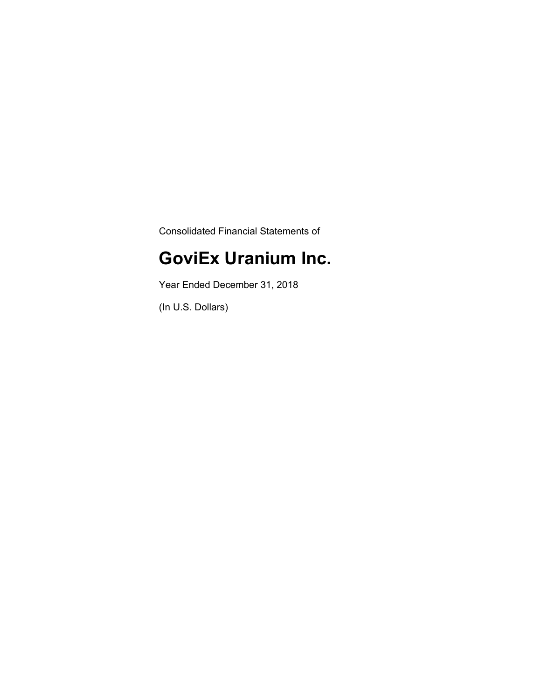Consolidated Financial Statements of

# **GoviEx Uranium Inc.**

Year Ended December 31, 2018

(In U.S. Dollars)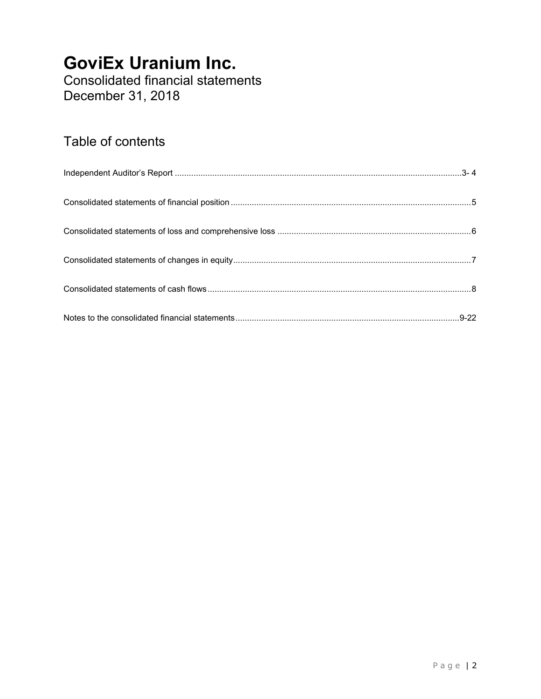Consolidated financial statements December 31, 2018

### Table of contents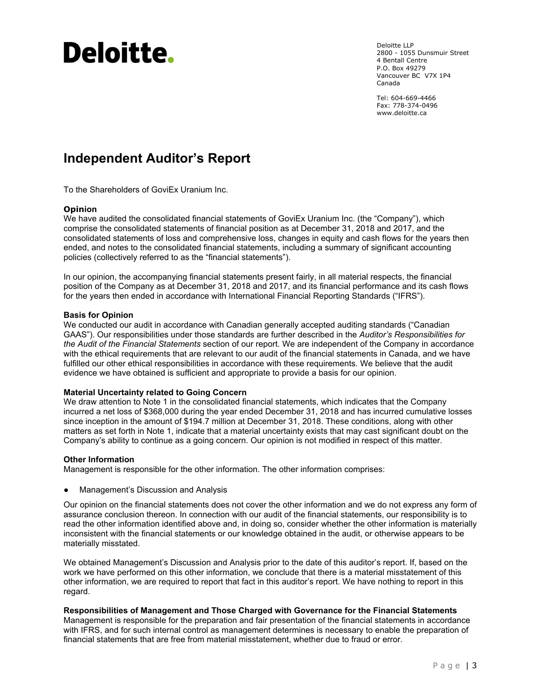# Deloitte.

Deloitte LLP Deloitte LLP<br>2800 - 1055 Dunsmuir Street 4 Bentall Centre P.O. Box 49279 Vancouver BC V7X 1P4 Canada

Tel: 604-669-4466 Fax: 778-374-0496 www.deloitte.ca

### **Independent Auditor's Report**

To the Shareholders of GoviEx Uranium Inc.

#### **Opinion**

We have audited the consolidated financial statements of GoviEx Uranium Inc. (the "Company"), which comprise the consolidated statements of financial position as at December 31, 2018 and 2017, and the consolidated statements of loss and comprehensive loss, changes in equity and cash flows for the years then ended, and notes to the consolidated financial statements, including a summary of significant accounting policies (collectively referred to as the "financial statements").

In our opinion, the accompanying financial statements present fairly, in all material respects, the financial position of the Company as at December 31, 2018 and 2017, and its financial performance and its cash flows for the years then ended in accordance with International Financial Reporting Standards ("IFRS").

#### **Basis for Opinion**

We conducted our audit in accordance with Canadian generally accepted auditing standards ("Canadian GAAS"). Our responsibilities under those standards are further described in the *Auditor's Responsibilities for the Audit of the Financial Statements* section of our report. We are independent of the Company in accordance with the ethical requirements that are relevant to our audit of the financial statements in Canada, and we have fulfilled our other ethical responsibilities in accordance with these requirements. We believe that the audit evidence we have obtained is sufficient and appropriate to provide a basis for our opinion.

#### **Material Uncertainty related to Going Concern**

We draw attention to Note 1 in the consolidated financial statements, which indicates that the Company incurred a net loss of \$368,000 during the year ended December 31, 2018 and has incurred cumulative losses since inception in the amount of \$194.7 million at December 31, 2018. These conditions, along with other matters as set forth in Note 1, indicate that a material uncertainty exists that may cast significant doubt on the Company's ability to continue as a going concern. Our opinion is not modified in respect of this matter.

#### **Other Information**

Management is responsible for the other information. The other information comprises:

Management's Discussion and Analysis

Our opinion on the financial statements does not cover the other information and we do not express any form of assurance conclusion thereon. In connection with our audit of the financial statements, our responsibility is to read the other information identified above and, in doing so, consider whether the other information is materially inconsistent with the financial statements or our knowledge obtained in the audit, or otherwise appears to be materially misstated.

We obtained Management's Discussion and Analysis prior to the date of this auditor's report. If, based on the work we have performed on this other information, we conclude that there is a material misstatement of this other information, we are required to report that fact in this auditor's report. We have nothing to report in this regard.

**Responsibilities of Management and Those Charged with Governance for the Financial Statements** 

Management is responsible for the preparation and fair presentation of the financial statements in accordance with IFRS, and for such internal control as management determines is necessary to enable the preparation of financial statements that are free from material misstatement, whether due to fraud or error.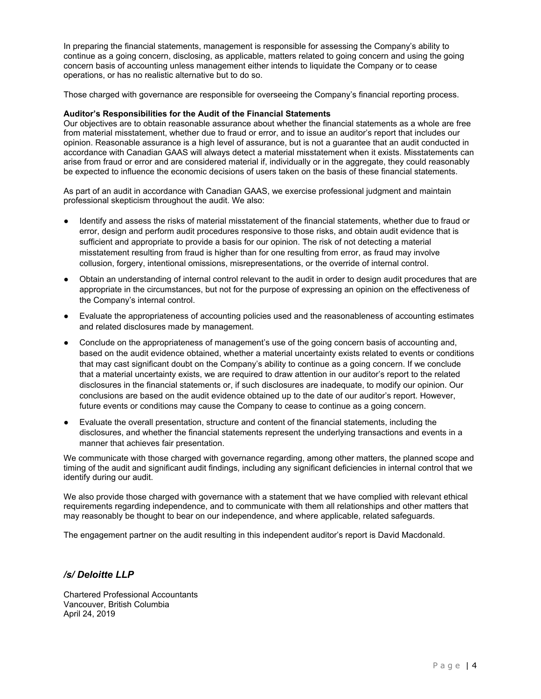In preparing the financial statements, management is responsible for assessing the Company's ability to continue as a going concern, disclosing, as applicable, matters related to going concern and using the going concern basis of accounting unless management either intends to liquidate the Company or to cease operations, or has no realistic alternative but to do so.

Those charged with governance are responsible for overseeing the Company's financial reporting process.

#### **Auditor's Responsibilities for the Audit of the Financial Statements**

Our objectives are to obtain reasonable assurance about whether the financial statements as a whole are free from material misstatement, whether due to fraud or error, and to issue an auditor's report that includes our opinion. Reasonable assurance is a high level of assurance, but is not a guarantee that an audit conducted in accordance with Canadian GAAS will always detect a material misstatement when it exists. Misstatements can arise from fraud or error and are considered material if, individually or in the aggregate, they could reasonably be expected to influence the economic decisions of users taken on the basis of these financial statements.

As part of an audit in accordance with Canadian GAAS, we exercise professional judgment and maintain professional skepticism throughout the audit. We also:

- Identify and assess the risks of material misstatement of the financial statements, whether due to fraud or error, design and perform audit procedures responsive to those risks, and obtain audit evidence that is sufficient and appropriate to provide a basis for our opinion. The risk of not detecting a material misstatement resulting from fraud is higher than for one resulting from error, as fraud may involve collusion, forgery, intentional omissions, misrepresentations, or the override of internal control.
- Obtain an understanding of internal control relevant to the audit in order to design audit procedures that are appropriate in the circumstances, but not for the purpose of expressing an opinion on the effectiveness of the Company's internal control.
- Evaluate the appropriateness of accounting policies used and the reasonableness of accounting estimates and related disclosures made by management.
- Conclude on the appropriateness of management's use of the going concern basis of accounting and, based on the audit evidence obtained, whether a material uncertainty exists related to events or conditions that may cast significant doubt on the Company's ability to continue as a going concern. If we conclude that a material uncertainty exists, we are required to draw attention in our auditor's report to the related disclosures in the financial statements or, if such disclosures are inadequate, to modify our opinion. Our conclusions are based on the audit evidence obtained up to the date of our auditor's report. However, future events or conditions may cause the Company to cease to continue as a going concern.
- Evaluate the overall presentation, structure and content of the financial statements, including the disclosures, and whether the financial statements represent the underlying transactions and events in a manner that achieves fair presentation.

We communicate with those charged with governance regarding, among other matters, the planned scope and timing of the audit and significant audit findings, including any significant deficiencies in internal control that we identify during our audit.

We also provide those charged with governance with a statement that we have complied with relevant ethical requirements regarding independence, and to communicate with them all relationships and other matters that may reasonably be thought to bear on our independence, and where applicable, related safeguards.

The engagement partner on the audit resulting in this independent auditor's report is David Macdonald.

#### */s/ Deloitte LLP*

Chartered Professional Accountants Vancouver, British Columbia April 24, 2019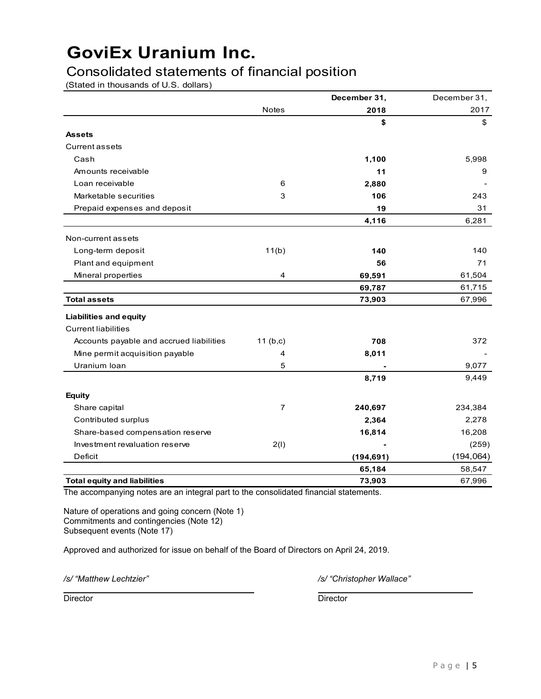### Consolidated statements of financial position

(Stated in thousands of U.S. dollars)

|                                          |                | December 31, | December 31, |
|------------------------------------------|----------------|--------------|--------------|
|                                          | <b>Notes</b>   | 2018         | 2017         |
|                                          |                | \$           | \$           |
| <b>Assets</b>                            |                |              |              |
| <b>Current assets</b>                    |                |              |              |
| Cash                                     |                | 1,100        | 5,998        |
| Amounts receivable                       |                | 11           | 9            |
| Loan receivable                          | 6              | 2,880        |              |
| Marketable securities                    | 3              | 106          | 243          |
| Prepaid expenses and deposit             |                | 19           | 31           |
|                                          |                | 4,116        | 6,281        |
| Non-current assets                       |                |              |              |
| Long-term deposit                        | 11(b)          | 140          | 140          |
| Plant and equipment                      |                | 56           | 71           |
| Mineral properties                       | 4              | 69,591       | 61,504       |
|                                          |                | 69,787       | 61,715       |
| <b>Total assets</b>                      |                | 73,903       | 67,996       |
| <b>Liabilities and equity</b>            |                |              |              |
| <b>Current liabilities</b>               |                |              |              |
| Accounts payable and accrued liabilities | 11(b,c)        | 708          | 372          |
| Mine permit acquisition payable          | 4              | 8,011        |              |
| Uranium Ioan                             | 5              |              | 9,077        |
|                                          |                | 8,719        | 9,449        |
| <b>Equity</b>                            |                |              |              |
| Share capital                            | $\overline{7}$ | 240,697      | 234,384      |
| Contributed surplus                      |                | 2,364        | 2,278        |
| Share-based compensation reserve         |                | 16,814       | 16,208       |
| Investment revaluation reserve           | 2(I)           |              | (259)        |
| Deficit                                  |                | (194, 691)   | (194, 064)   |
|                                          |                | 65,184       | 58,547       |
| <b>Total equity and liabilities</b>      |                | 73,903       | 67,996       |

The accompanying notes are an integral part to the consolidated financial statements.

Nature of operations and going concern (Note 1) Commitments and contingencies (Note 12) Subsequent events (Note 17)

Approved and authorized for issue on behalf of the Board of Directors on April 24, 2019.

*/s/ "Matthew Lechtzier" /s/ "Christopher Wallace"* 

Director **Director** Director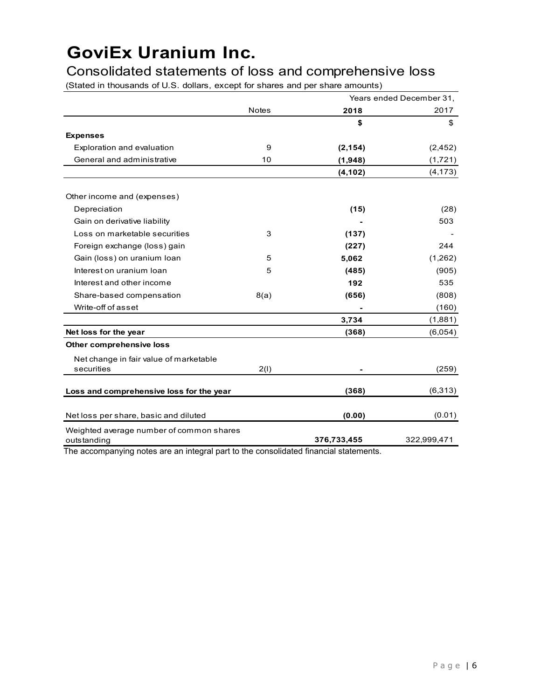Consolidated statements of loss and comprehensive loss

(Stated in thousands of U.S. dollars, except for shares and per share amounts)

|                                                         |              |             | Years ended December 31, |
|---------------------------------------------------------|--------------|-------------|--------------------------|
|                                                         | <b>Notes</b> | 2018        | 2017                     |
|                                                         |              | \$          | \$                       |
| <b>Expenses</b>                                         |              |             |                          |
| Exploration and evaluation                              | 9            | (2, 154)    | (2, 452)                 |
| General and administrative                              | 10           | (1,948)     | (1,721)                  |
|                                                         |              | (4, 102)    | (4, 173)                 |
| Other income and (expenses)                             |              |             |                          |
| Depreciation                                            |              | (15)        | (28)                     |
|                                                         |              |             | 503                      |
| Gain on derivative liability                            |              |             |                          |
| Loss on marketable securities                           | 3            | (137)       |                          |
| Foreign exchange (loss) gain                            |              | (227)       | 244                      |
| Gain (loss) on uranium loan                             | 5            | 5,062       | (1,262)                  |
| Interest on uranium Ioan                                | 5            | (485)       | (905)                    |
| Interest and other income                               |              | 192         | 535                      |
| Share-based compensation                                | 8(a)         | (656)       | (808)                    |
| Write-off of asset                                      |              |             | (160)                    |
|                                                         |              | 3,734       | (1,881)                  |
| Net loss for the year                                   |              | (368)       | (6,054)                  |
| Other comprehensive loss                                |              |             |                          |
| Net change in fair value of marketable                  |              |             |                          |
| securities                                              | 2(1)         |             | (259)                    |
| Loss and comprehensive loss for the year                |              | (368)       | (6,313)                  |
|                                                         |              |             |                          |
| Net loss per share, basic and diluted                   |              | (0.00)      | (0.01)                   |
| Weighted average number of common shares<br>outstanding |              | 376,733,455 | 322,999,471              |

The accompanying notes are an integral part to the consolidated financial statements.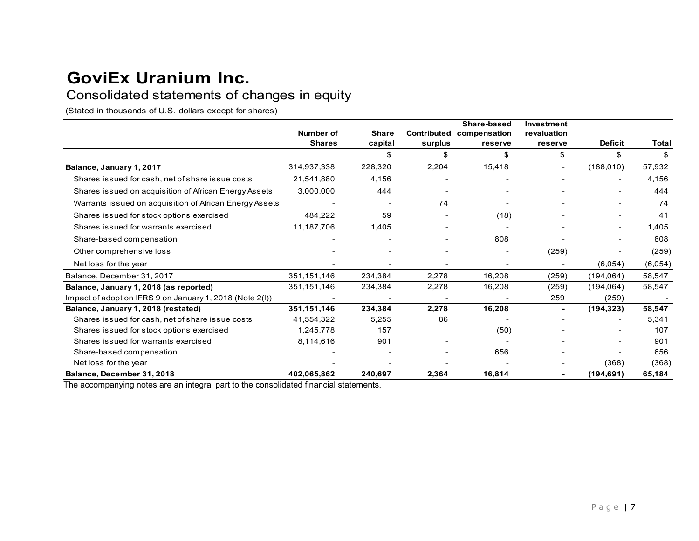### Consolidated statements of changes in equity

(Stated in thousands of U.S. dollars except for shares)

|                                                          |               |              |                    | Share-based              | <b>Investment</b> |                |              |
|----------------------------------------------------------|---------------|--------------|--------------------|--------------------------|-------------------|----------------|--------------|
|                                                          | Number of     | <b>Share</b> | <b>Contributed</b> | compensation             | revaluation       |                |              |
|                                                          | <b>Shares</b> | capital      | surplus            | reserve                  | reserve           | <b>Deficit</b> | <b>Total</b> |
|                                                          |               | \$           | \$.                | \$                       | \$                | \$             | \$.          |
| Balance, January 1, 2017                                 | 314,937,338   | 228,320      | 2,204              | 15,418                   |                   | (188,010)      | 57,932       |
| Shares issued for cash, net of share issue costs         | 21,541,880    | 4,156        |                    |                          |                   | ۰              | 4,156        |
| Shares issued on acquisition of African Energy Assets    | 3,000,000     | 444          |                    |                          |                   | -              | 444          |
| Warrants issued on acquisition of African Energy Assets  |               |              | 74                 |                          |                   | ۰              | 74           |
| Shares issued for stock options exercised                | 484,222       | 59           |                    | (18)                     |                   |                | 41           |
| Shares issued for warrants exercised                     | 11,187,706    | 1,405        |                    | $\overline{\phantom{a}}$ |                   | ۰              | 1,405        |
| Share-based compensation                                 |               |              |                    | 808                      |                   |                | 808          |
| Other comprehensive loss                                 |               |              |                    | $\overline{\phantom{a}}$ | (259)             |                | (259)        |
| Net loss for the year                                    |               |              |                    |                          |                   | (6,054)        | (6,054)      |
| Balance, December 31, 2017                               | 351,151,146   | 234,384      | 2,278              | 16,208                   | (259)             | (194, 064)     | 58,547       |
| Balance, January 1, 2018 (as reported)                   | 351, 151, 146 | 234,384      | 2,278              | 16,208                   | (259)             | (194, 064)     | 58,547       |
| Impact of adoption IFRS 9 on January 1, 2018 (Note 2(I)) |               |              |                    |                          | 259               | (259)          |              |
| Balance, January 1, 2018 (restated)                      | 351,151,146   | 234,384      | 2,278              | 16,208                   |                   | (194, 323)     | 58,547       |
| Shares issued for cash, net of share issue costs         | 41,554,322    | 5,255        | 86                 |                          |                   |                | 5,341        |
| Shares issued for stock options exercised                | 1,245,778     | 157          |                    | (50)                     |                   |                | 107          |
| Shares issued for warrants exercised                     | 8,114,616     | 901          |                    |                          |                   |                | 901          |
| Share-based compensation                                 |               |              |                    | 656                      |                   |                | 656          |
| Net loss for the year                                    |               |              |                    |                          |                   | (368)          | (368)        |
| Balance, December 31, 2018                               | 402,065,862   | 240,697      | 2,364              | 16,814                   |                   | (194, 691)     | 65,184       |

The accompanying notes are an integral part to the consolidated financial statements.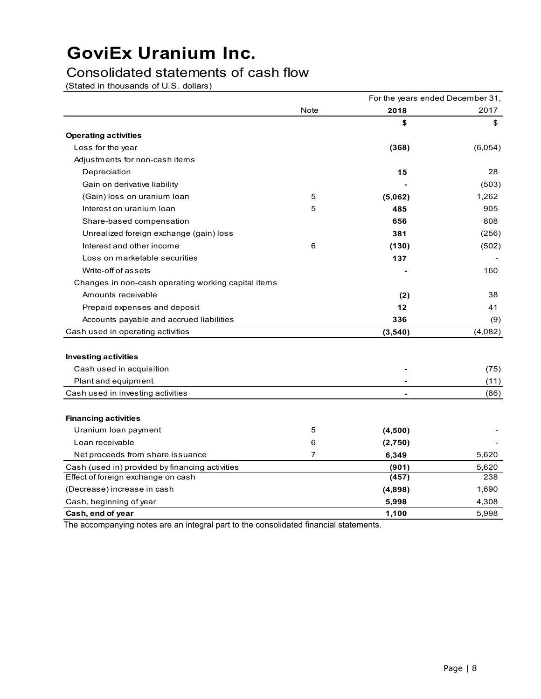### Consolidated statements of cash flow

(Stated in thousands of U.S. dollars)

|                                                     |             | For the years ended December 31, |         |  |
|-----------------------------------------------------|-------------|----------------------------------|---------|--|
|                                                     | <b>Note</b> | 2018                             | 2017    |  |
|                                                     |             | \$                               | \$      |  |
| <b>Operating activities</b>                         |             |                                  |         |  |
| Loss for the year                                   |             | (368)                            | (6,054) |  |
| Adjustments for non-cash items                      |             |                                  |         |  |
| Depreciation                                        |             | 15                               | 28      |  |
| Gain on derivative liability                        |             |                                  | (503)   |  |
| (Gain) loss on uranium loan                         | 5           | (5,062)                          | 1,262   |  |
| Interest on uranium loan                            | 5           | 485                              | 905     |  |
| Share-based compensation                            |             | 656                              | 808     |  |
| Unrealized foreign exchange (gain) loss             |             | 381                              | (256)   |  |
| Interest and other income                           | 6           | (130)                            | (502)   |  |
| Loss on marketable securities                       |             | 137                              |         |  |
| Write-off of assets                                 |             |                                  | 160     |  |
| Changes in non-cash operating working capital items |             |                                  |         |  |
| Amounts receivable                                  |             | (2)                              | 38      |  |
| Prepaid expenses and deposit                        |             | 12                               | 41      |  |
| Accounts payable and accrued liabilities            |             | 336                              | (9)     |  |
| Cash used in operating activities                   |             | (3, 540)                         | (4,082) |  |
|                                                     |             |                                  |         |  |
| <b>Investing activities</b>                         |             |                                  |         |  |
| Cash used in acquisition                            |             |                                  | (75)    |  |
| Plant and equipment                                 |             |                                  | (11)    |  |
| Cash used in investing activities                   |             |                                  | (86)    |  |
| <b>Financing activities</b>                         |             |                                  |         |  |
| Uranium Ioan payment                                | 5           | (4,500)                          |         |  |
| Loan receivable                                     | 6           | (2,750)                          |         |  |
| Net proceeds from share issuance                    | 7           | 6,349                            | 5,620   |  |
| Cash (used in) provided by financing activities     |             | (901)                            | 5,620   |  |
| Effect of foreign exchange on cash                  |             | (457)                            | 238     |  |
| (Decrease) increase in cash                         |             | (4,898)                          | 1,690   |  |
| Cash, beginning of year                             |             | 5,998                            | 4,308   |  |
| Cash, end of year                                   |             | 1,100                            | 5,998   |  |

The accompanying notes are an integral part to the consolidated financial statements.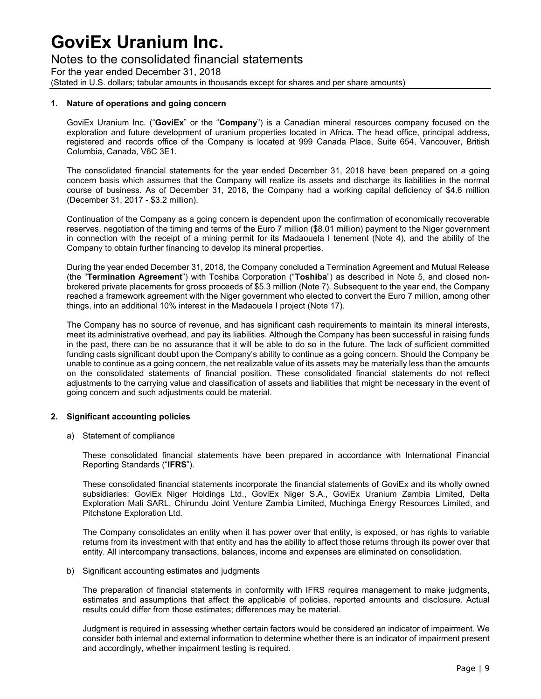### Notes to the consolidated financial statements For the year ended December 31, 2018 (Stated in U.S. dollars; tabular amounts in thousands except for shares and per share amounts)

#### **1. Nature of operations and going concern**

GoviEx Uranium Inc. ("**GoviEx**" or the "**Company**") is a Canadian mineral resources company focused on the exploration and future development of uranium properties located in Africa. The head office, principal address, registered and records office of the Company is located at 999 Canada Place, Suite 654, Vancouver, British Columbia, Canada, V6C 3E1.

The consolidated financial statements for the year ended December 31, 2018 have been prepared on a going concern basis which assumes that the Company will realize its assets and discharge its liabilities in the normal course of business. As of December 31, 2018, the Company had a working capital deficiency of \$4.6 million (December 31, 2017 - \$3.2 million).

Continuation of the Company as a going concern is dependent upon the confirmation of economically recoverable reserves, negotiation of the timing and terms of the Euro 7 million (\$8.01 million) payment to the Niger government in connection with the receipt of a mining permit for its Madaouela I tenement (Note 4), and the ability of the Company to obtain further financing to develop its mineral properties.

During the year ended December 31, 2018, the Company concluded a Termination Agreement and Mutual Release (the "**Termination Agreement**") with Toshiba Corporation ("**Toshiba**") as described in Note 5, and closed nonbrokered private placements for gross proceeds of \$5.3 million (Note 7). Subsequent to the year end, the Company reached a framework agreement with the Niger government who elected to convert the Euro 7 million, among other things, into an additional 10% interest in the Madaouela I project (Note 17).

The Company has no source of revenue, and has significant cash requirements to maintain its mineral interests, meet its administrative overhead, and pay its liabilities. Although the Company has been successful in raising funds in the past, there can be no assurance that it will be able to do so in the future. The lack of sufficient committed funding casts significant doubt upon the Company's ability to continue as a going concern. Should the Company be unable to continue as a going concern, the net realizable value of its assets may be materially less than the amounts on the consolidated statements of financial position. These consolidated financial statements do not reflect adjustments to the carrying value and classification of assets and liabilities that might be necessary in the event of going concern and such adjustments could be material.

#### **2. Significant accounting policies**

a) Statement of compliance

These consolidated financial statements have been prepared in accordance with International Financial Reporting Standards ("**IFRS**").

These consolidated financial statements incorporate the financial statements of GoviEx and its wholly owned subsidiaries: GoviEx Niger Holdings Ltd., GoviEx Niger S.A., GoviEx Uranium Zambia Limited, Delta Exploration Mali SARL, Chirundu Joint Venture Zambia Limited, Muchinga Energy Resources Limited, and Pitchstone Exploration Ltd.

The Company consolidates an entity when it has power over that entity, is exposed, or has rights to variable returns from its investment with that entity and has the ability to affect those returns through its power over that entity. All intercompany transactions, balances, income and expenses are eliminated on consolidation.

b) Significant accounting estimates and judgments

The preparation of financial statements in conformity with IFRS requires management to make judgments, estimates and assumptions that affect the applicable of policies, reported amounts and disclosure. Actual results could differ from those estimates; differences may be material.

Judgment is required in assessing whether certain factors would be considered an indicator of impairment. We consider both internal and external information to determine whether there is an indicator of impairment present and accordingly, whether impairment testing is required.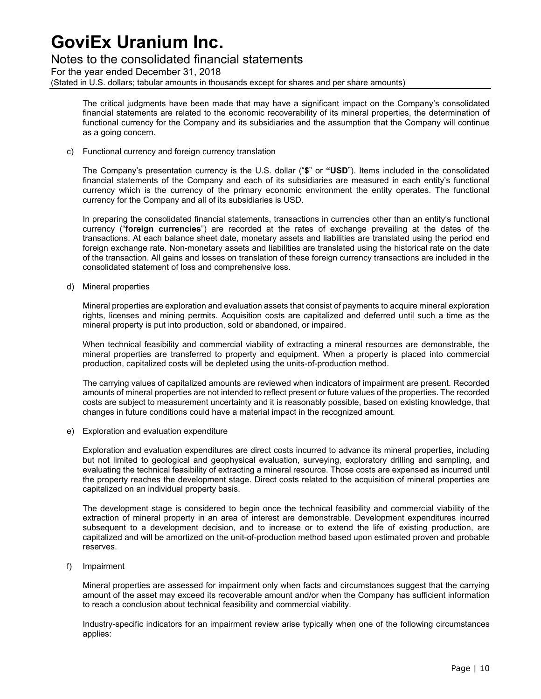Notes to the consolidated financial statements For the year ended December 31, 2018 (Stated in U.S. dollars; tabular amounts in thousands except for shares and per share amounts)

The critical judgments have been made that may have a significant impact on the Company's consolidated financial statements are related to the economic recoverability of its mineral properties, the determination of functional currency for the Company and its subsidiaries and the assumption that the Company will continue as a going concern.

c) Functional currency and foreign currency translation

The Company's presentation currency is the U.S. dollar ("**\$**" or **"USD**"). Items included in the consolidated financial statements of the Company and each of its subsidiaries are measured in each entity's functional currency which is the currency of the primary economic environment the entity operates. The functional currency for the Company and all of its subsidiaries is USD.

In preparing the consolidated financial statements, transactions in currencies other than an entity's functional currency ("**foreign currencies**") are recorded at the rates of exchange prevailing at the dates of the transactions. At each balance sheet date, monetary assets and liabilities are translated using the period end foreign exchange rate. Non-monetary assets and liabilities are translated using the historical rate on the date of the transaction. All gains and losses on translation of these foreign currency transactions are included in the consolidated statement of loss and comprehensive loss.

d) Mineral properties

Mineral properties are exploration and evaluation assets that consist of payments to acquire mineral exploration rights, licenses and mining permits. Acquisition costs are capitalized and deferred until such a time as the mineral property is put into production, sold or abandoned, or impaired.

When technical feasibility and commercial viability of extracting a mineral resources are demonstrable, the mineral properties are transferred to property and equipment. When a property is placed into commercial production, capitalized costs will be depleted using the units-of-production method.

The carrying values of capitalized amounts are reviewed when indicators of impairment are present. Recorded amounts of mineral properties are not intended to reflect present or future values of the properties. The recorded costs are subject to measurement uncertainty and it is reasonably possible, based on existing knowledge, that changes in future conditions could have a material impact in the recognized amount.

e) Exploration and evaluation expenditure

Exploration and evaluation expenditures are direct costs incurred to advance its mineral properties, including but not limited to geological and geophysical evaluation, surveying, exploratory drilling and sampling, and evaluating the technical feasibility of extracting a mineral resource. Those costs are expensed as incurred until the property reaches the development stage. Direct costs related to the acquisition of mineral properties are capitalized on an individual property basis.

The development stage is considered to begin once the technical feasibility and commercial viability of the extraction of mineral property in an area of interest are demonstrable. Development expenditures incurred subsequent to a development decision, and to increase or to extend the life of existing production, are capitalized and will be amortized on the unit-of-production method based upon estimated proven and probable reserves.

f) Impairment

Mineral properties are assessed for impairment only when facts and circumstances suggest that the carrying amount of the asset may exceed its recoverable amount and/or when the Company has sufficient information to reach a conclusion about technical feasibility and commercial viability.

Industry-specific indicators for an impairment review arise typically when one of the following circumstances applies: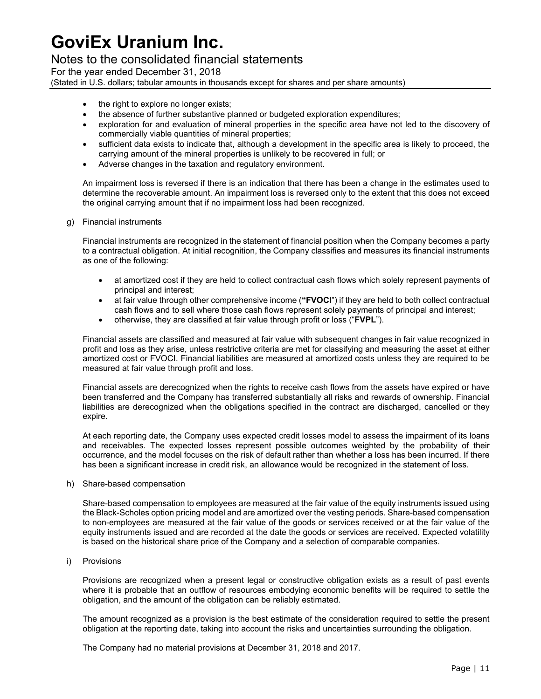### Notes to the consolidated financial statements

For the year ended December 31, 2018

(Stated in U.S. dollars; tabular amounts in thousands except for shares and per share amounts)

- the right to explore no longer exists;
- the absence of further substantive planned or budgeted exploration expenditures;
- exploration for and evaluation of mineral properties in the specific area have not led to the discovery of commercially viable quantities of mineral properties;
- sufficient data exists to indicate that, although a development in the specific area is likely to proceed, the carrying amount of the mineral properties is unlikely to be recovered in full; or
- Adverse changes in the taxation and regulatory environment.

An impairment loss is reversed if there is an indication that there has been a change in the estimates used to determine the recoverable amount. An impairment loss is reversed only to the extent that this does not exceed the original carrying amount that if no impairment loss had been recognized.

g) Financial instruments

Financial instruments are recognized in the statement of financial position when the Company becomes a party to a contractual obligation. At initial recognition, the Company classifies and measures its financial instruments as one of the following:

- at amortized cost if they are held to collect contractual cash flows which solely represent payments of principal and interest;
- at fair value through other comprehensive income (**"FVOCI**") if they are held to both collect contractual cash flows and to sell where those cash flows represent solely payments of principal and interest;
- otherwise, they are classified at fair value through profit or loss ("**FVPL**").

Financial assets are classified and measured at fair value with subsequent changes in fair value recognized in profit and loss as they arise, unless restrictive criteria are met for classifying and measuring the asset at either amortized cost or FVOCI. Financial liabilities are measured at amortized costs unless they are required to be measured at fair value through profit and loss.

Financial assets are derecognized when the rights to receive cash flows from the assets have expired or have been transferred and the Company has transferred substantially all risks and rewards of ownership. Financial liabilities are derecognized when the obligations specified in the contract are discharged, cancelled or they expire.

At each reporting date, the Company uses expected credit losses model to assess the impairment of its loans and receivables. The expected losses represent possible outcomes weighted by the probability of their occurrence, and the model focuses on the risk of default rather than whether a loss has been incurred. If there has been a significant increase in credit risk, an allowance would be recognized in the statement of loss.

h) Share-based compensation

Share-based compensation to employees are measured at the fair value of the equity instruments issued using the Black-Scholes option pricing model and are amortized over the vesting periods. Share-based compensation to non-employees are measured at the fair value of the goods or services received or at the fair value of the equity instruments issued and are recorded at the date the goods or services are received. Expected volatility is based on the historical share price of the Company and a selection of comparable companies.

i) Provisions

Provisions are recognized when a present legal or constructive obligation exists as a result of past events where it is probable that an outflow of resources embodying economic benefits will be required to settle the obligation, and the amount of the obligation can be reliably estimated.

The amount recognized as a provision is the best estimate of the consideration required to settle the present obligation at the reporting date, taking into account the risks and uncertainties surrounding the obligation.

The Company had no material provisions at December 31, 2018 and 2017.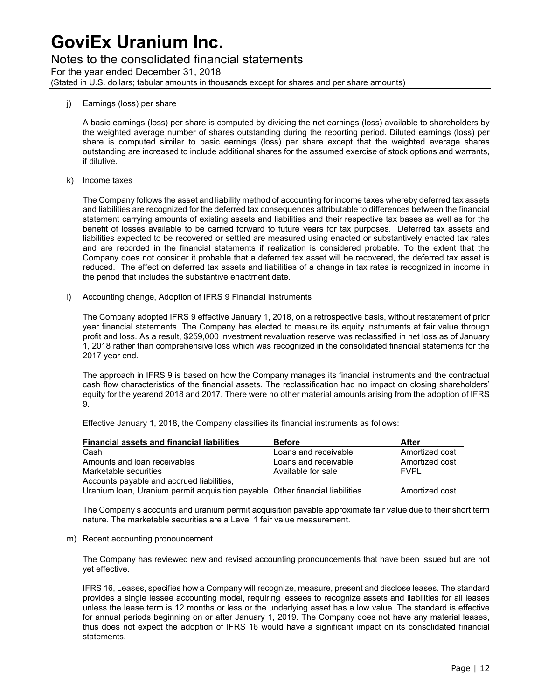### Notes to the consolidated financial statements For the year ended December 31, 2018 (Stated in U.S. dollars; tabular amounts in thousands except for shares and per share amounts)

#### j) Earnings (loss) per share

A basic earnings (loss) per share is computed by dividing the net earnings (loss) available to shareholders by the weighted average number of shares outstanding during the reporting period. Diluted earnings (loss) per share is computed similar to basic earnings (loss) per share except that the weighted average shares outstanding are increased to include additional shares for the assumed exercise of stock options and warrants, if dilutive.

k) Income taxes

The Company follows the asset and liability method of accounting for income taxes whereby deferred tax assets and liabilities are recognized for the deferred tax consequences attributable to differences between the financial statement carrying amounts of existing assets and liabilities and their respective tax bases as well as for the benefit of losses available to be carried forward to future years for tax purposes. Deferred tax assets and liabilities expected to be recovered or settled are measured using enacted or substantively enacted tax rates and are recorded in the financial statements if realization is considered probable. To the extent that the Company does not consider it probable that a deferred tax asset will be recovered, the deferred tax asset is reduced. The effect on deferred tax assets and liabilities of a change in tax rates is recognized in income in the period that includes the substantive enactment date.

l) Accounting change, Adoption of IFRS 9 Financial Instruments

The Company adopted IFRS 9 effective January 1, 2018, on a retrospective basis, without restatement of prior year financial statements. The Company has elected to measure its equity instruments at fair value through profit and loss. As a result, \$259,000 investment revaluation reserve was reclassified in net loss as of January 1, 2018 rather than comprehensive loss which was recognized in the consolidated financial statements for the 2017 year end.

The approach in IFRS 9 is based on how the Company manages its financial instruments and the contractual cash flow characteristics of the financial assets. The reclassification had no impact on closing shareholders' equity for the yearend 2018 and 2017. There were no other material amounts arising from the adoption of IFRS 9.

Effective January 1, 2018, the Company classifies its financial instruments as follows:

| <b>Financial assets and financial liabilities</b>                            | <b>Before</b>        | After          |
|------------------------------------------------------------------------------|----------------------|----------------|
| Cash                                                                         | Loans and receivable | Amortized cost |
| Amounts and loan receivables                                                 | Loans and receivable | Amortized cost |
| Marketable securities                                                        | Available for sale   | <b>FVPL</b>    |
| Accounts payable and accrued liabilities,                                    |                      |                |
| Uranium Ioan, Uranium permit acquisition payable Other financial liabilities |                      | Amortized cost |

The Company's accounts and uranium permit acquisition payable approximate fair value due to their short term nature. The marketable securities are a Level 1 fair value measurement.

m) Recent accounting pronouncement

The Company has reviewed new and revised accounting pronouncements that have been issued but are not yet effective.

IFRS 16, Leases, specifies how a Company will recognize, measure, present and disclose leases. The standard provides a single lessee accounting model, requiring lessees to recognize assets and liabilities for all leases unless the lease term is 12 months or less or the underlying asset has a low value. The standard is effective for annual periods beginning on or after January 1, 2019. The Company does not have any material leases, thus does not expect the adoption of IFRS 16 would have a significant impact on its consolidated financial statements.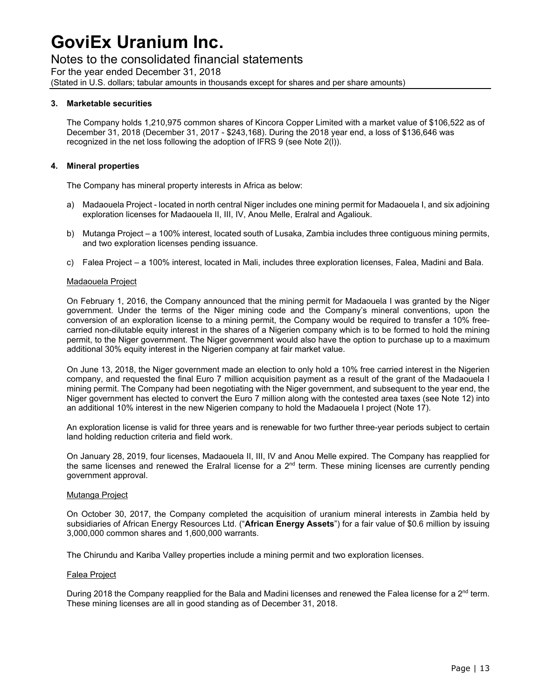Notes to the consolidated financial statements For the year ended December 31, 2018 (Stated in U.S. dollars; tabular amounts in thousands except for shares and per share amounts)

#### **3. Marketable securities**

The Company holds 1,210,975 common shares of Kincora Copper Limited with a market value of \$106,522 as of December 31, 2018 (December 31, 2017 - \$243,168). During the 2018 year end, a loss of \$136,646 was recognized in the net loss following the adoption of IFRS 9 (see Note 2(l)).

#### **4. Mineral properties**

The Company has mineral property interests in Africa as below:

- a) Madaouela Project located in north central Niger includes one mining permit for Madaouela I, and six adjoining exploration licenses for Madaouela II, III, IV, Anou Melle, Eralral and Agaliouk.
- b) Mutanga Project a 100% interest, located south of Lusaka, Zambia includes three contiguous mining permits, and two exploration licenses pending issuance.
- c) Falea Project a 100% interest, located in Mali, includes three exploration licenses, Falea, Madini and Bala.

#### Madaouela Project

On February 1, 2016, the Company announced that the mining permit for Madaouela I was granted by the Niger government. Under the terms of the Niger mining code and the Company's mineral conventions, upon the conversion of an exploration license to a mining permit, the Company would be required to transfer a 10% freecarried non-dilutable equity interest in the shares of a Nigerien company which is to be formed to hold the mining permit, to the Niger government. The Niger government would also have the option to purchase up to a maximum additional 30% equity interest in the Nigerien company at fair market value.

On June 13, 2018, the Niger government made an election to only hold a 10% free carried interest in the Nigerien company, and requested the final Euro 7 million acquisition payment as a result of the grant of the Madaouela I mining permit. The Company had been negotiating with the Niger government, and subsequent to the year end, the Niger government has elected to convert the Euro 7 million along with the contested area taxes (see Note 12) into an additional 10% interest in the new Nigerien company to hold the Madaouela I project (Note 17).

An exploration license is valid for three years and is renewable for two further three-year periods subject to certain land holding reduction criteria and field work.

On January 28, 2019, four licenses, Madaouela II, III, IV and Anou Melle expired. The Company has reapplied for the same licenses and renewed the Eralral license for a  $2<sup>nd</sup>$  term. These mining licenses are currently pending government approval.

#### Mutanga Project

On October 30, 2017, the Company completed the acquisition of uranium mineral interests in Zambia held by subsidiaries of African Energy Resources Ltd. ("**African Energy Assets**") for a fair value of \$0.6 million by issuing 3,000,000 common shares and 1,600,000 warrants.

The Chirundu and Kariba Valley properties include a mining permit and two exploration licenses.

#### Falea Project

During 2018 the Company reapplied for the Bala and Madini licenses and renewed the Falea license for a 2<sup>nd</sup> term. These mining licenses are all in good standing as of December 31, 2018.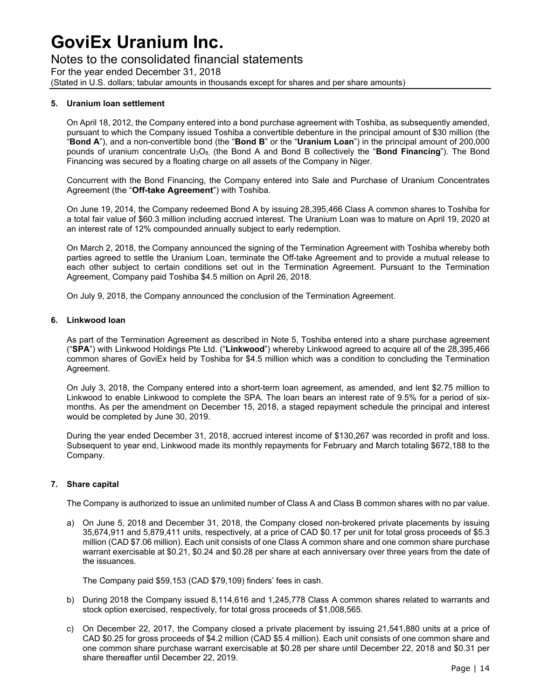### Notes to the consolidated financial statements For the year ended December 31, 2018 (Stated in U.S. dollars; tabular amounts in thousands except for shares and per share amounts)

#### **5. Uranium loan settlement**

On April 18, 2012, the Company entered into a bond purchase agreement with Toshiba, as subsequently amended, pursuant to which the Company issued Toshiba a convertible debenture in the principal amount of \$30 million (the "**Bond A**"), and a non-convertible bond (the "**Bond B**" or the "**Uranium Loan**") in the principal amount of 200,000 pounds of uranium concentrate U3O8, (the Bond A and Bond B collectively the "**Bond Financing**"). The Bond Financing was secured by a floating charge on all assets of the Company in Niger.

Concurrent with the Bond Financing, the Company entered into Sale and Purchase of Uranium Concentrates Agreement (the "**Off-take Agreement**") with Toshiba.

On June 19, 2014, the Company redeemed Bond A by issuing 28,395,466 Class A common shares to Toshiba for a total fair value of \$60.3 million including accrued interest. The Uranium Loan was to mature on April 19, 2020 at an interest rate of 12% compounded annually subject to early redemption.

On March 2, 2018, the Company announced the signing of the Termination Agreement with Toshiba whereby both parties agreed to settle the Uranium Loan, terminate the Off-take Agreement and to provide a mutual release to each other subject to certain conditions set out in the Termination Agreement. Pursuant to the Termination Agreement, Company paid Toshiba \$4.5 million on April 26, 2018.

On July 9, 2018, the Company announced the conclusion of the Termination Agreement.

#### **6. Linkwood loan**

As part of the Termination Agreement as described in Note 5, Toshiba entered into a share purchase agreement ("**SPA**") with Linkwood Holdings Pte Ltd. ("**Linkwood**") whereby Linkwood agreed to acquire all of the 28,395,466 common shares of GoviEx held by Toshiba for \$4.5 million which was a condition to concluding the Termination Agreement.

On July 3, 2018, the Company entered into a short-term loan agreement, as amended, and lent \$2.75 million to Linkwood to enable Linkwood to complete the SPA. The loan bears an interest rate of 9.5% for a period of sixmonths. As per the amendment on December 15, 2018, a staged repayment schedule the principal and interest would be completed by June 30, 2019.

During the year ended December 31, 2018, accrued interest income of \$130,267 was recorded in profit and loss. Subsequent to year end, Linkwood made its monthly repayments for February and March totaling \$672,188 to the Company.

#### **7. Share capital**

The Company is authorized to issue an unlimited number of Class A and Class B common shares with no par value.

a) On June 5, 2018 and December 31, 2018, the Company closed non-brokered private placements by issuing 35,674,911 and 5,879,411 units, respectively, at a price of CAD \$0.17 per unit for total gross proceeds of \$5.3 million (CAD \$7.06 million). Each unit consists of one Class A common share and one common share purchase warrant exercisable at \$0.21, \$0.24 and \$0.28 per share at each anniversary over three years from the date of the issuances.

The Company paid \$59,153 (CAD \$79,109) finders' fees in cash.

- b) During 2018 the Company issued 8,114,616 and 1,245,778 Class A common shares related to warrants and stock option exercised, respectively, for total gross proceeds of \$1,008,565.
- c) On December 22, 2017, the Company closed a private placement by issuing 21,541,880 units at a price of CAD \$0.25 for gross proceeds of \$4.2 million (CAD \$5.4 million). Each unit consists of one common share and one common share purchase warrant exercisable at \$0.28 per share until December 22, 2018 and \$0.31 per share thereafter until December 22, 2019.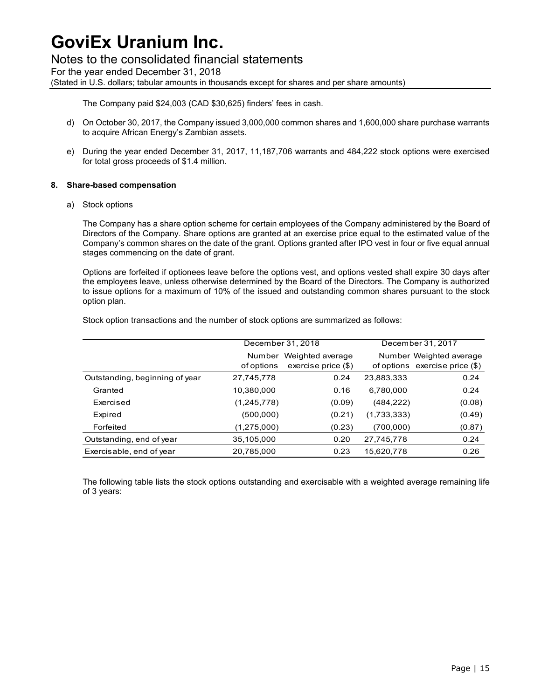#### Notes to the consolidated financial statements

For the year ended December 31, 2018

(Stated in U.S. dollars; tabular amounts in thousands except for shares and per share amounts)

The Company paid \$24,003 (CAD \$30,625) finders' fees in cash.

- d) On October 30, 2017, the Company issued 3,000,000 common shares and 1,600,000 share purchase warrants to acquire African Energy's Zambian assets.
- e) During the year ended December 31, 2017, 11,187,706 warrants and 484,222 stock options were exercised for total gross proceeds of \$1.4 million.

#### **8. Share-based compensation**

a) Stock options

The Company has a share option scheme for certain employees of the Company administered by the Board of Directors of the Company. Share options are granted at an exercise price equal to the estimated value of the Company's common shares on the date of the grant. Options granted after IPO vest in four or five equal annual stages commencing on the date of grant.

Options are forfeited if optionees leave before the options vest, and options vested shall expire 30 days after the employees leave, unless otherwise determined by the Board of the Directors. The Company is authorized to issue options for a maximum of 10% of the issued and outstanding common shares pursuant to the stock option plan.

| oloon ophon transachons and the namber or stock ophons are sammanzed as follows. |            |                         |            |                                  |
|----------------------------------------------------------------------------------|------------|-------------------------|------------|----------------------------------|
|                                                                                  |            | December 31, 2018       |            | December 31, 2017                |
|                                                                                  |            | Number Weighted average |            | Number Weighted average          |
|                                                                                  | of options | exercise price (\$)     |            | of options exercise price $(\$)$ |
| Outstanding, beginning of year                                                   | 27,745,778 | 0.24                    | 23,883,333 | 0.24                             |
| Granted                                                                          | 10,380,000 | 0.16                    | 6,780,000  | 0.24                             |

Stock option transactions and the number of stock options are summarized as follows:

The following table lists the stock options outstanding and exercisable with a weighted average remaining life of 3 years:

Exercised (1,245,778) (0.09) (484,222) (0.08) Expired (500,000) (0.21) (1,733,333) (0.49) Forfeited (1,275,000) (0.23) (700,000) (0.87) Outstanding, end of year 35,105,000 0.20 27,745,778 0.24 Exercisable, end of year 20,785,000 0.23 15,620,778 0.26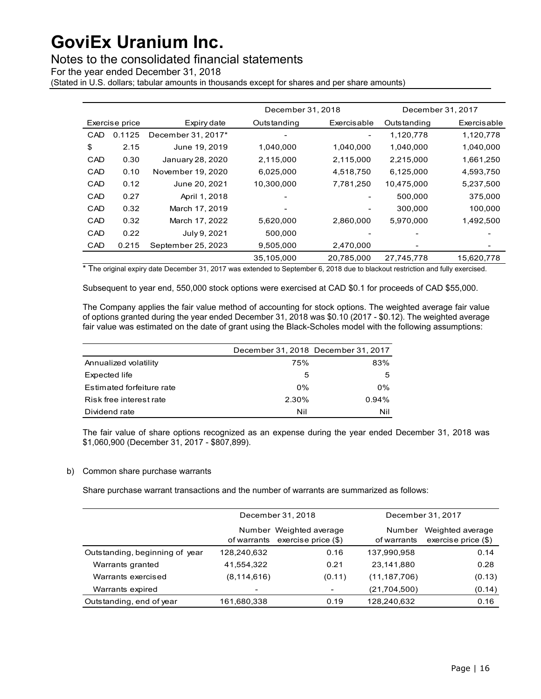### Notes to the consolidated financial statements

For the year ended December 31, 2018

(Stated in U.S. dollars; tabular amounts in thousands except for shares and per share amounts)

|     |                |                    |             | December 31, 2018 |             | December 31, 2017 |
|-----|----------------|--------------------|-------------|-------------------|-------------|-------------------|
|     | Exercise price | Expiry date        | Outstanding | Exercisable       | Outstanding | Exercisable       |
| CAD | 0.1125         | December 31, 2017* |             |                   | 1,120,778   | 1,120,778         |
| \$  | 2.15           | June 19, 2019      | 1,040,000   | 1,040,000         | 1,040,000   | 1,040,000         |
| CAD | 0.30           | January 28, 2020   | 2,115,000   | 2,115,000         | 2,215,000   | 1,661,250         |
| CAD | 0.10           | November 19, 2020  | 6,025,000   | 4,518,750         | 6,125,000   | 4,593,750         |
| CAD | 0.12           | June 20, 2021      | 10,300,000  | 7,781,250         | 10,475,000  | 5,237,500         |
| CAD | 0.27           | April 1, 2018      |             |                   | 500,000     | 375,000           |
| CAD | 0.32           | March 17, 2019     |             |                   | 300,000     | 100,000           |
| CAD | 0.32           | March 17, 2022     | 5,620,000   | 2,860,000         | 5,970,000   | 1,492,500         |
| CAD | 0.22           | July 9, 2021       | 500,000     |                   |             |                   |
| CAD | 0.215          | September 25, 2023 | 9,505,000   | 2,470,000         |             |                   |
|     |                |                    | 35,105,000  | 20,785,000        | 27,745,778  | 15,620,778        |

\* The original expiry date December 31, 2017 was extended to September 6, 2018 due to blackout restriction and fully exercised.

Subsequent to year end, 550,000 stock options were exercised at CAD \$0.1 for proceeds of CAD \$55,000.

The Company applies the fair value method of accounting for stock options. The weighted average fair value of options granted during the year ended December 31, 2018 was \$0.10 (2017 - \$0.12). The weighted average fair value was estimated on the date of grant using the Black-Scholes model with the following assumptions:

|                           |       | December 31, 2018 December 31, 2017 |
|---------------------------|-------|-------------------------------------|
| Annualized volatility     | 75%   | 83%                                 |
| Expected life             | 5     | 5                                   |
| Estimated forfeiture rate | $0\%$ | $0\%$                               |
| Risk free interest rate   | 2.30% | $0.94\%$                            |
| Dividend rate             | Nil   | Nil                                 |

The fair value of share options recognized as an expense during the year ended December 31, 2018 was \$1,060,900 (December 31, 2017 - \$807,899).

#### b) Common share purchase warrants

Share purchase warrant transactions and the number of warrants are summarized as follows:

|                                |                                                            | December 31, 2018 | December 31, 2017                                                |        |  |
|--------------------------------|------------------------------------------------------------|-------------------|------------------------------------------------------------------|--------|--|
|                                | Number Weighted average<br>of warrants exercise price (\$) |                   | Weighted average<br>Number<br>exercise price (\$)<br>of warrants |        |  |
| Outstanding, beginning of year | 128,240,632                                                | 0.16              | 137,990,958                                                      | 0.14   |  |
| Warrants granted               | 41,554,322                                                 | 0.21              | 23,141,880                                                       | 0.28   |  |
| Warrants exercised             | (8, 114, 616)                                              | (0.11)            | (11, 187, 706)                                                   | (0.13) |  |
| Warrants expired               | -                                                          | ٠                 | (21,704,500)                                                     | (0.14) |  |
| Outstanding, end of year       | 161,680,338                                                | 0.19              | 128,240,632                                                      | 0.16   |  |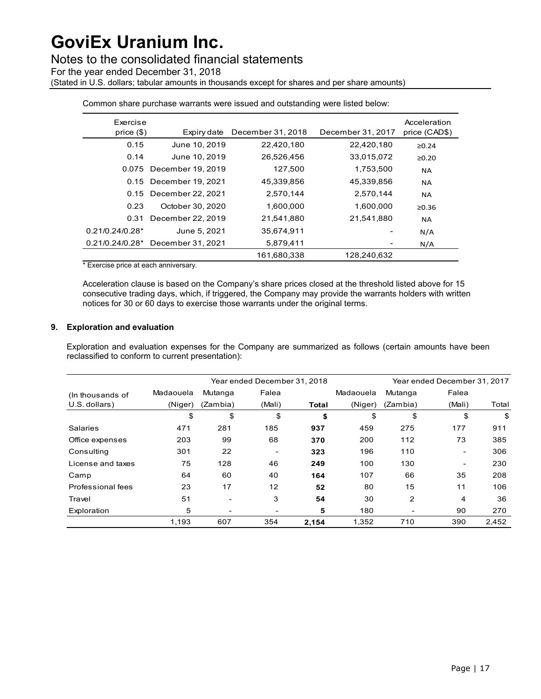### Notes to the consolidated financial statements

For the year ended December 31, 2018

(Stated in U.S. dollars; tabular amounts in thousands except for shares and per share amounts)

| Exercise<br>price $(\$)$      | Expiry date       | December 31, 2018 | December 31, 2017 | Acceleration<br>price (CAD\$) |
|-------------------------------|-------------------|-------------------|-------------------|-------------------------------|
| 0.15                          | June 10, 2019     | 22,420,180        | 22,420,180        | $\ge 0.24$                    |
| 0.14                          | June 10, 2019     | 26,526,456        | 33,015,072        | ≥0.20                         |
| 0.075                         | December 19, 2019 | 127,500           | 1,753,500         | <b>NA</b>                     |
| 0.15                          | December 19, 2021 | 45,339,856        | 45,339,856        | <b>NA</b>                     |
| 0.15                          | December 22, 2021 | 2,570,144         | 2,570,144         | <b>NA</b>                     |
| 0.23                          | October 30, 2020  | 1,600,000         | 1,600,000         | $\geq 0.36$                   |
| 0.31                          | December 22, 2019 | 21,541,880        | 21,541,880        | <b>NA</b>                     |
| $0.21/0.24/0.28*$             | June 5, 2021      | 35.674.911        |                   | N/A                           |
| $0.21/0.24/0.28$ <sup>*</sup> | December 31, 2021 | 5,879,411         |                   | N/A                           |
|                               |                   | 161.680.338       | 128.240.632       |                               |

Common share purchase warrants were issued and outstanding were listed below:

\* Exercise price at each anniversary.

Acceleration clause is based on the Company's share prices closed at the threshold listed above for 15 consecutive trading days, which, if triggered, the Company may provide the warrants holders with written notices for 30 or 60 days to exercise those warrants under the original terms.

#### **9. Exploration and evaluation**

Exploration and evaluation expenses for the Company are summarized as follows (certain amounts have been reclassified to conform to current presentation):

|                   | Year ended December 31, 2018 |                          |                          |              |           | Year ended December 31, 2017 |        |       |
|-------------------|------------------------------|--------------------------|--------------------------|--------------|-----------|------------------------------|--------|-------|
| (In thousands of  | Madaouela                    | Mutanga                  | Falea                    |              | Madaouela | Mutanga                      | Falea  |       |
| U.S. dollars)     | (Niger)                      | (Zambia)                 | (Mali)                   | <b>Total</b> | (Niger)   | (Zambia)                     | (Mali) | Total |
|                   | \$                           | \$                       | \$                       | \$           | \$        | \$                           | \$     | \$    |
| <b>Salaries</b>   | 471                          | 281                      | 185                      | 937          | 459       | 275                          | 177    | 911   |
| Office expenses   | 203                          | 99                       | 68                       | 370          | 200       | 112                          | 73     | 385   |
| Consulting        | 301                          | 22                       | $\overline{\phantom{a}}$ | 323          | 196       | 110                          |        | 306   |
| License and taxes | 75                           | 128                      | 46                       | 249          | 100       | 130                          |        | 230   |
| Camp              | 64                           | 60                       | 40                       | 164          | 107       | 66                           | 35     | 208   |
| Professional fees | 23                           | 17                       | 12                       | 52           | 80        | 15                           | 11     | 106   |
| Travel            | 51                           | ۰                        | 3                        | 54           | 30        | 2                            | 4      | 36    |
| Exploration       | 5                            | $\overline{\phantom{a}}$ | $\overline{\phantom{0}}$ | 5            | 180       | -                            | 90     | 270   |
|                   | 1,193                        | 607                      | 354                      | 2,154        | 1.352     | 710                          | 390    | 2,452 |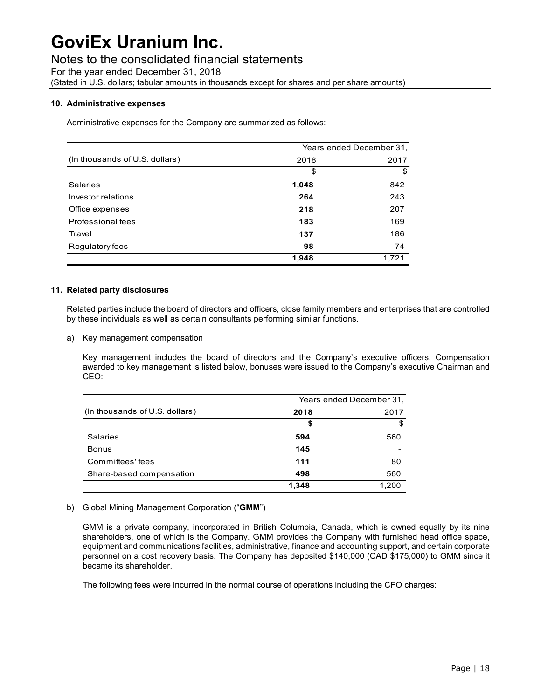Notes to the consolidated financial statements For the year ended December 31, 2018 (Stated in U.S. dollars; tabular amounts in thousands except for shares and per share amounts)

#### **10. Administrative expenses**

Administrative expenses for the Company are summarized as follows:

|                                |       | Years ended December 31, |
|--------------------------------|-------|--------------------------|
| (In thousands of U.S. dollars) | 2018  | 2017                     |
|                                | \$    | \$                       |
| <b>Salaries</b>                | 1,048 | 842                      |
| Investor relations             | 264   | 243                      |
| Office expenses                | 218   | 207                      |
| Professional fees              | 183   | 169                      |
| Travel                         | 137   | 186                      |
| Regulatory fees                | 98    | 74                       |
|                                | 1,948 | 1,721                    |

#### **11. Related party disclosures**

Related parties include the board of directors and officers, close family members and enterprises that are controlled by these individuals as well as certain consultants performing similar functions.

a) Key management compensation

Key management includes the board of directors and the Company's executive officers. Compensation awarded to key management is listed below, bonuses were issued to the Company's executive Chairman and CEO:

| Years ended December 31,       |       |       |
|--------------------------------|-------|-------|
| (In thousands of U.S. dollars) | 2018  | 2017  |
|                                | \$    |       |
| <b>Salaries</b>                | 594   | 560   |
| <b>Bonus</b>                   | 145   |       |
| Committees' fees               | 111   | 80    |
| Share-based compensation       | 498   | 560   |
|                                | 1,348 | 1.200 |

#### b) Global Mining Management Corporation ("**GMM**")

GMM is a private company, incorporated in British Columbia, Canada, which is owned equally by its nine shareholders, one of which is the Company. GMM provides the Company with furnished head office space, equipment and communications facilities, administrative, finance and accounting support, and certain corporate personnel on a cost recovery basis. The Company has deposited \$140,000 (CAD \$175,000) to GMM since it became its shareholder.

The following fees were incurred in the normal course of operations including the CFO charges: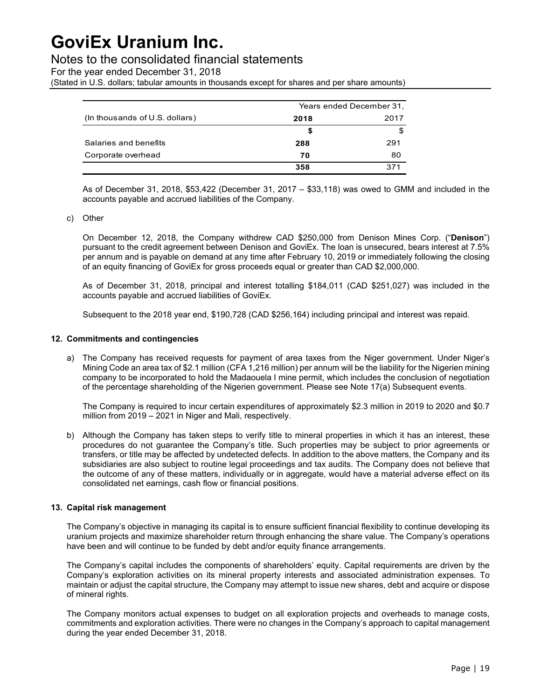### Notes to the consolidated financial statements

For the year ended December 31, 2018

(Stated in U.S. dollars; tabular amounts in thousands except for shares and per share amounts)

|                                | Years ended December 31, |     |  |
|--------------------------------|--------------------------|-----|--|
| (In thousands of U.S. dollars) | 2018                     |     |  |
|                                | S                        |     |  |
| Salaries and benefits          | 288                      | 291 |  |
| Corporate overhead             | 70                       | 80  |  |
|                                | 358                      | 371 |  |

As of December 31, 2018, \$53,422 (December 31, 2017 – \$33,118) was owed to GMM and included in the accounts payable and accrued liabilities of the Company.

#### c) Other

On December 12, 2018, the Company withdrew CAD \$250,000 from Denison Mines Corp. ("**Denison**") pursuant to the credit agreement between Denison and GoviEx. The loan is unsecured, bears interest at 7.5% per annum and is payable on demand at any time after February 10, 2019 or immediately following the closing of an equity financing of GoviEx for gross proceeds equal or greater than CAD \$2,000,000.

As of December 31, 2018, principal and interest totalling \$184,011 (CAD \$251,027) was included in the accounts payable and accrued liabilities of GoviEx.

Subsequent to the 2018 year end, \$190,728 (CAD \$256,164) including principal and interest was repaid.

#### **12. Commitments and contingencies**

a) The Company has received requests for payment of area taxes from the Niger government. Under Niger's Mining Code an area tax of \$2.1 million (CFA 1,216 million) per annum will be the liability for the Nigerien mining company to be incorporated to hold the Madaouela I mine permit, which includes the conclusion of negotiation of the percentage shareholding of the Nigerien government. Please see Note 17(a) Subsequent events.

The Company is required to incur certain expenditures of approximately \$2.3 million in 2019 to 2020 and \$0.7 million from 2019 – 2021 in Niger and Mali, respectively.

b) Although the Company has taken steps to verify title to mineral properties in which it has an interest, these procedures do not guarantee the Company's title. Such properties may be subject to prior agreements or transfers, or title may be affected by undetected defects. In addition to the above matters, the Company and its subsidiaries are also subject to routine legal proceedings and tax audits. The Company does not believe that the outcome of any of these matters, individually or in aggregate, would have a material adverse effect on its consolidated net earnings, cash flow or financial positions.

#### **13. Capital risk management**

The Company's objective in managing its capital is to ensure sufficient financial flexibility to continue developing its uranium projects and maximize shareholder return through enhancing the share value. The Company's operations have been and will continue to be funded by debt and/or equity finance arrangements.

The Company's capital includes the components of shareholders' equity. Capital requirements are driven by the Company's exploration activities on its mineral property interests and associated administration expenses. To maintain or adjust the capital structure, the Company may attempt to issue new shares, debt and acquire or dispose of mineral rights.

The Company monitors actual expenses to budget on all exploration projects and overheads to manage costs, commitments and exploration activities. There were no changes in the Company's approach to capital management during the year ended December 31, 2018.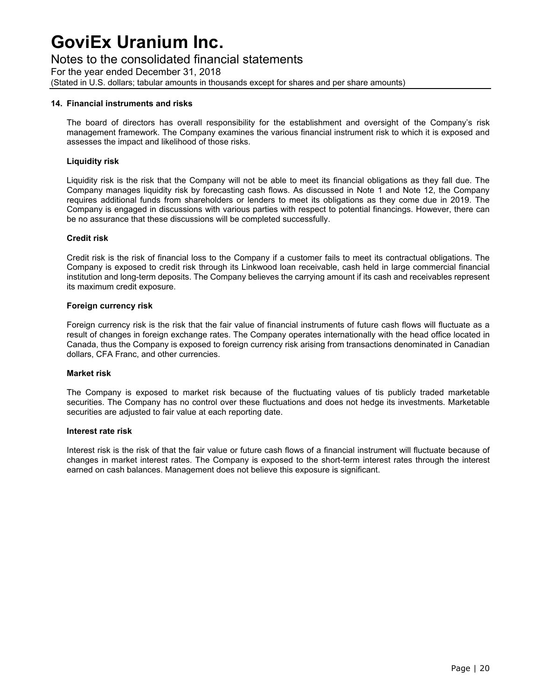Notes to the consolidated financial statements For the year ended December 31, 2018 (Stated in U.S. dollars; tabular amounts in thousands except for shares and per share amounts)

#### **14. Financial instruments and risks**

The board of directors has overall responsibility for the establishment and oversight of the Company's risk management framework. The Company examines the various financial instrument risk to which it is exposed and assesses the impact and likelihood of those risks.

#### **Liquidity risk**

Liquidity risk is the risk that the Company will not be able to meet its financial obligations as they fall due. The Company manages liquidity risk by forecasting cash flows. As discussed in Note 1 and Note 12, the Company requires additional funds from shareholders or lenders to meet its obligations as they come due in 2019. The Company is engaged in discussions with various parties with respect to potential financings. However, there can be no assurance that these discussions will be completed successfully.

#### **Credit risk**

Credit risk is the risk of financial loss to the Company if a customer fails to meet its contractual obligations. The Company is exposed to credit risk through its Linkwood loan receivable, cash held in large commercial financial institution and long-term deposits. The Company believes the carrying amount if its cash and receivables represent its maximum credit exposure.

#### **Foreign currency risk**

Foreign currency risk is the risk that the fair value of financial instruments of future cash flows will fluctuate as a result of changes in foreign exchange rates. The Company operates internationally with the head office located in Canada, thus the Company is exposed to foreign currency risk arising from transactions denominated in Canadian dollars, CFA Franc, and other currencies.

#### **Market risk**

The Company is exposed to market risk because of the fluctuating values of tis publicly traded marketable securities. The Company has no control over these fluctuations and does not hedge its investments. Marketable securities are adjusted to fair value at each reporting date.

#### **Interest rate risk**

Interest risk is the risk of that the fair value or future cash flows of a financial instrument will fluctuate because of changes in market interest rates. The Company is exposed to the short-term interest rates through the interest earned on cash balances. Management does not believe this exposure is significant.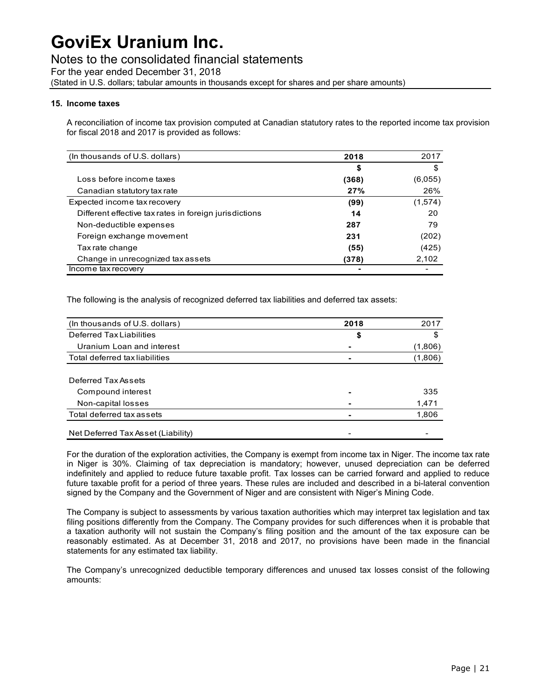#### Notes to the consolidated financial statements

For the year ended December 31, 2018

(Stated in U.S. dollars; tabular amounts in thousands except for shares and per share amounts)

#### **15. Income taxes**

A reconciliation of income tax provision computed at Canadian statutory rates to the reported income tax provision for fiscal 2018 and 2017 is provided as follows:

| (In thousands of U.S. dollars)                         | 2018  | 2017    |
|--------------------------------------------------------|-------|---------|
|                                                        | \$    | \$      |
| Loss before income taxes                               | (368) | (6,055) |
| Canadian statutory tax rate                            | 27%   | 26%     |
| Expected income tax recovery                           | (99)  | (1,574) |
| Different effective tax rates in foreign jurisdictions | 14    | 20      |
| Non-deductible expenses                                | 287   | 79      |
| Foreign exchange movement                              | 231   | (202)   |
| Tax rate change                                        | (55)  | (425)   |
| Change in unrecognized tax assets                      | (378) | 2,102   |
| Income tax recovery                                    |       |         |

The following is the analysis of recognized deferred tax liabilities and deferred tax assets:

| (In thousands of U.S. dollars)     | 2018 | 2017    |
|------------------------------------|------|---------|
| Deferred Tax Liabilities           | \$   | S       |
| Uranium Loan and interest          |      | (1,806) |
| Total deferred tax liabilities     |      | (1,806) |
|                                    |      |         |
| Deferred Tax Assets                |      |         |
| Compound interest                  |      | 335     |
| Non-capital losses                 |      | 1,471   |
| Total deferred tax assets          |      | 1,806   |
| Net Deferred Tax Asset (Liability) |      |         |

For the duration of the exploration activities, the Company is exempt from income tax in Niger. The income tax rate in Niger is 30%. Claiming of tax depreciation is mandatory; however, unused depreciation can be deferred indefinitely and applied to reduce future taxable profit. Tax losses can be carried forward and applied to reduce future taxable profit for a period of three years. These rules are included and described in a bi-lateral convention signed by the Company and the Government of Niger and are consistent with Niger's Mining Code.

The Company is subject to assessments by various taxation authorities which may interpret tax legislation and tax filing positions differently from the Company. The Company provides for such differences when it is probable that a taxation authority will not sustain the Company's filing position and the amount of the tax exposure can be reasonably estimated. As at December 31, 2018 and 2017, no provisions have been made in the financial statements for any estimated tax liability.

The Company's unrecognized deductible temporary differences and unused tax losses consist of the following amounts: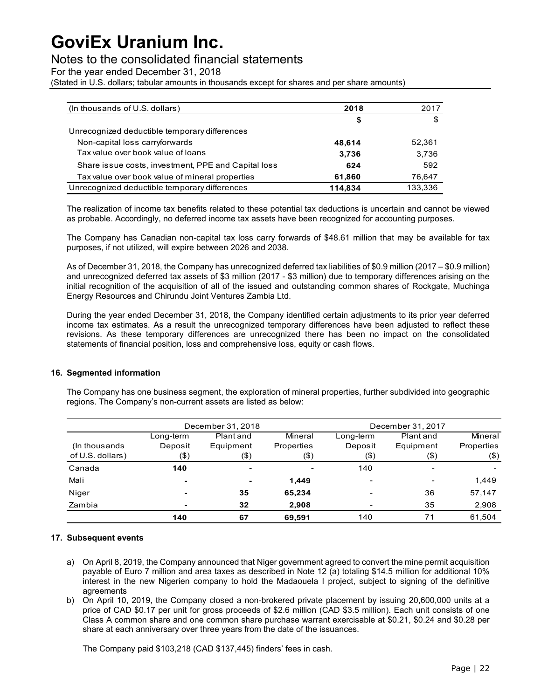### Notes to the consolidated financial statements

For the year ended December 31, 2018

(Stated in U.S. dollars; tabular amounts in thousands except for shares and per share amounts)

| (In thousands of U.S. dollars)                      | 2018    | 2017    |
|-----------------------------------------------------|---------|---------|
|                                                     | S       |         |
| Unrecognized deductible temporary differences       |         |         |
| Non-capital loss carryforwards                      | 48,614  | 52.361  |
| Tax value over book value of loans                  | 3,736   | 3.736   |
| Share issue costs, investment, PPE and Capital loss | 624     | 592     |
| Tax value over book value of mineral properties     | 61,860  | 76,647  |
| Unrecognized deductible temporary differences       | 114,834 | 133.336 |

The realization of income tax benefits related to these potential tax deductions is uncertain and cannot be viewed as probable. Accordingly, no deferred income tax assets have been recognized for accounting purposes.

The Company has Canadian non-capital tax loss carry forwards of \$48.61 million that may be available for tax purposes, if not utilized, will expire between 2026 and 2038.

As of December 31, 2018, the Company has unrecognized deferred tax liabilities of \$0.9 million (2017 – \$0.9 million) and unrecognized deferred tax assets of \$3 million (2017 - \$3 million) due to temporary differences arising on the initial recognition of the acquisition of all of the issued and outstanding common shares of Rockgate, Muchinga Energy Resources and Chirundu Joint Ventures Zambia Ltd.

During the year ended December 31, 2018, the Company identified certain adjustments to its prior year deferred income tax estimates. As a result the unrecognized temporary differences have been adjusted to reflect these revisions. As these temporary differences are unrecognized there has been no impact on the consolidated statements of financial position, loss and comprehensive loss, equity or cash flows.

#### **16. Segmented information**

The Company has one business segment, the exploration of mineral properties, further subdivided into geographic regions. The Company's non-current assets are listed as below:

|                  | December 31, 2018 |           |            |                          | December 31, 2017 |            |
|------------------|-------------------|-----------|------------|--------------------------|-------------------|------------|
|                  | Long-term         | Plant and | Mineral    | Long-term                | Plant and         | Mineral    |
| (In thousands)   | Deposit           | Equipment | Properties | Deposit                  | Equipment         | Properties |
| of U.S. dollars) | (\$)              | (\$)      | $(\$)$     | $(\$)$                   | $(\$)$            | (3)        |
| Canada           | 140               | ۰         | ۰          | 140                      |                   |            |
| Mali             | ۰                 |           | 1,449      | $\overline{\phantom{a}}$ |                   | 1,449      |
| Niger            | $\blacksquare$    | 35        | 65,234     | ٠                        | 36                | 57,147     |
| Zambia           | ٠                 | 32        | 2,908      | $\overline{\phantom{0}}$ | 35                | 2,908      |
|                  | 140               | 67        | 69.591     | 140                      | 71                | 61,504     |

#### **17. Subsequent events**

- a) On April 8, 2019, the Company announced that Niger government agreed to convert the mine permit acquisition payable of Euro 7 million and area taxes as described in Note 12 (a) totaling \$14.5 million for additional 10% interest in the new Nigerien company to hold the Madaouela I project, subject to signing of the definitive agreements
- b) On April 10, 2019, the Company closed a non-brokered private placement by issuing 20,600,000 units at a price of CAD \$0.17 per unit for gross proceeds of \$2.6 million (CAD \$3.5 million). Each unit consists of one Class A common share and one common share purchase warrant exercisable at \$0.21, \$0.24 and \$0.28 per share at each anniversary over three years from the date of the issuances.

The Company paid \$103,218 (CAD \$137,445) finders' fees in cash.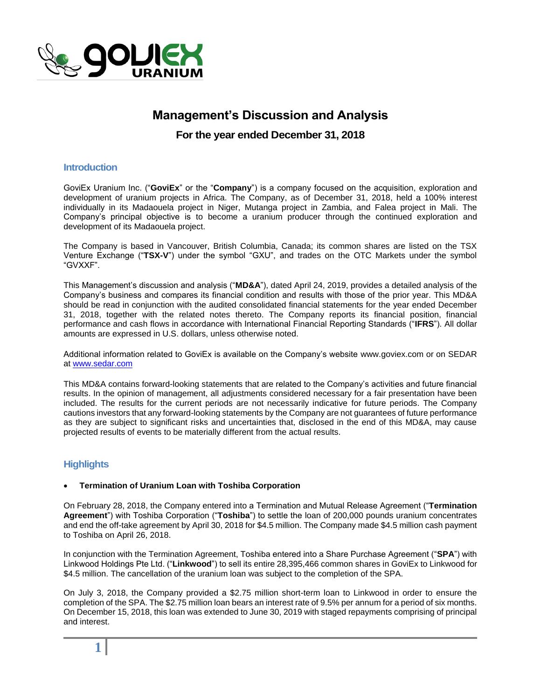

### **Management's Discussion and Analysis**

**For the year ended December 31, 2018**

#### **Introduction**

GoviEx Uranium Inc. ("**GoviEx**" or the "**Company**") is a company focused on the acquisition, exploration and development of uranium projects in Africa. The Company, as of December 31, 2018, held a 100% interest individually in its Madaouela project in Niger, Mutanga project in Zambia, and Falea project in Mali. The Company's principal objective is to become a uranium producer through the continued exploration and development of its Madaouela project.

The Company is based in Vancouver, British Columbia, Canada; its common shares are listed on the TSX Venture Exchange ("**TSX-V**") under the symbol "GXU", and trades on the OTC Markets under the symbol "GVXXF".

This Management's discussion and analysis ("**MD&A**"), dated April 24, 2019, provides a detailed analysis of the Company's business and compares its financial condition and results with those of the prior year. This MD&A should be read in conjunction with the audited consolidated financial statements for the year ended December 31, 2018, together with the related notes thereto. The Company reports its financial position, financial performance and cash flows in accordance with International Financial Reporting Standards ("**IFRS**"). All dollar amounts are expressed in U.S. dollars, unless otherwise noted.

Additional information related to GoviEx is available on the Company's website www.goviex.com or on SEDAR at [www.sedar.com](http://www.sedar.com/)

This MD&A contains forward-looking statements that are related to the Company's activities and future financial results. In the opinion of management, all adjustments considered necessary for a fair presentation have been included. The results for the current periods are not necessarily indicative for future periods. The Company cautions investors that any forward-looking statements by the Company are not guarantees of future performance as they are subject to significant risks and uncertainties that, disclosed in the end of this MD&A, may cause projected results of events to be materially different from the actual results.

#### **Highlights**

#### **Termination of Uranium Loan with Toshiba Corporation**

On February 28, 2018, the Company entered into a Termination and Mutual Release Agreement ("**Termination Agreement**") with Toshiba Corporation ("**Toshiba**") to settle the loan of 200,000 pounds uranium concentrates and end the off-take agreement by April 30, 2018 for \$4.5 million. The Company made \$4.5 million cash payment to Toshiba on April 26, 2018.

In conjunction with the Termination Agreement, Toshiba entered into a Share Purchase Agreement ("**SPA**") with Linkwood Holdings Pte Ltd. ("**Linkwood**") to sell its entire 28,395,466 common shares in GoviEx to Linkwood for \$4.5 million. The cancellation of the uranium loan was subject to the completion of the SPA.

On July 3, 2018, the Company provided a \$2.75 million short-term loan to Linkwood in order to ensure the completion of the SPA. The \$2.75 million loan bears an interest rate of 9.5% per annum for a period of six months. On December 15, 2018, this loan was extended to June 30, 2019 with staged repayments comprising of principal and interest.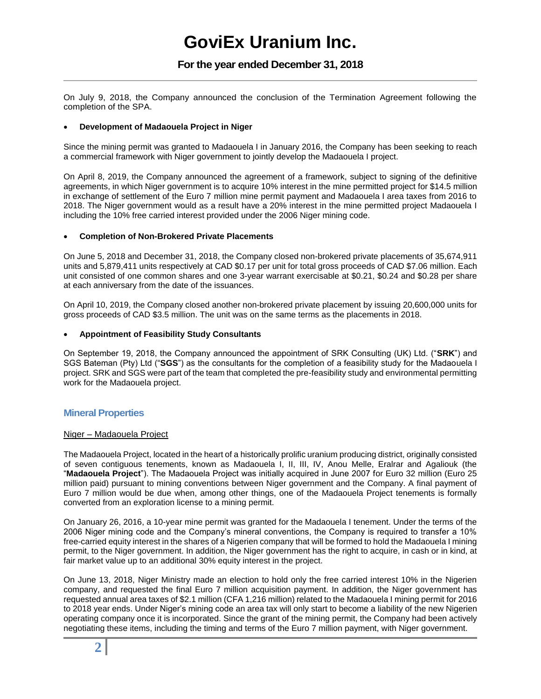### **For the year ended December 31, 2018**

On July 9, 2018, the Company announced the conclusion of the Termination Agreement following the completion of the SPA.

#### **Development of Madaouela Project in Niger**

Since the mining permit was granted to Madaouela I in January 2016, the Company has been seeking to reach a commercial framework with Niger government to jointly develop the Madaouela I project.

On April 8, 2019, the Company announced the agreement of a framework, subject to signing of the definitive agreements, in which Niger government is to acquire 10% interest in the mine permitted project for \$14.5 million in exchange of settlement of the Euro 7 million mine permit payment and Madaouela I area taxes from 2016 to 2018. The Niger government would as a result have a 20% interest in the mine permitted project Madaouela I including the 10% free carried interest provided under the 2006 Niger mining code.

#### **Completion of Non-Brokered Private Placements**

On June 5, 2018 and December 31, 2018, the Company closed non-brokered private placements of 35,674,911 units and 5,879,411 units respectively at CAD \$0.17 per unit for total gross proceeds of CAD \$7.06 million. Each unit consisted of one common shares and one 3-year warrant exercisable at \$0.21, \$0.24 and \$0.28 per share at each anniversary from the date of the issuances.

On April 10, 2019, the Company closed another non-brokered private placement by issuing 20,600,000 units for gross proceeds of CAD \$3.5 million. The unit was on the same terms as the placements in 2018.

#### **Appointment of Feasibility Study Consultants**

On September 19, 2018, the Company announced the appointment of SRK Consulting (UK) Ltd. ("**SRK**") and SGS Bateman (Pty) Ltd ("**SGS**") as the consultants for the completion of a feasibility study for the Madaouela I project. SRK and SGS were part of the team that completed the pre-feasibility study and environmental permitting work for the Madaouela project.

#### **Mineral Properties**

#### Niger – Madaouela Project

The Madaouela Project, located in the heart of a historically prolific uranium producing district, originally consisted of seven contiguous tenements, known as Madaouela I, II, III, IV, Anou Melle, Eralrar and Agaliouk (the "**Madaouela Project**"). The Madaouela Project was initially acquired in June 2007 for Euro 32 million (Euro 25 million paid) pursuant to mining conventions between Niger government and the Company. A final payment of Euro 7 million would be due when, among other things, one of the Madaouela Project tenements is formally converted from an exploration license to a mining permit.

On January 26, 2016, a 10-year mine permit was granted for the Madaouela I tenement. Under the terms of the 2006 Niger mining code and the Company's mineral conventions, the Company is required to transfer a 10% free-carried equity interest in the shares of a Nigerien company that will be formed to hold the Madaouela I mining permit, to the Niger government. In addition, the Niger government has the right to acquire, in cash or in kind, at fair market value up to an additional 30% equity interest in the project.

On June 13, 2018, Niger Ministry made an election to hold only the free carried interest 10% in the Nigerien company, and requested the final Euro 7 million acquisition payment. In addition, the Niger government has requested annual area taxes of \$2.1 million (CFA 1,216 million) related to the Madaouela I mining permit for 2016 to 2018 year ends. Under Niger's mining code an area tax will only start to become a liability of the new Nigerien operating company once it is incorporated. Since the grant of the mining permit, the Company had been actively negotiating these items, including the timing and terms of the Euro 7 million payment, with Niger government.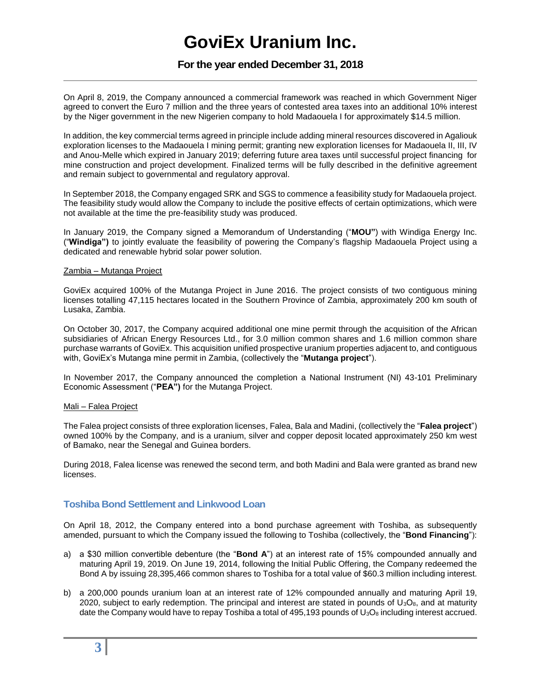### **For the year ended December 31, 2018**

On April 8, 2019, the Company announced a commercial framework was reached in which Government Niger agreed to convert the Euro 7 million and the three years of contested area taxes into an additional 10% interest by the Niger government in the new Nigerien company to hold Madaouela I for approximately \$14.5 million.

In addition, the key commercial terms agreed in principle include adding mineral resources discovered in Agaliouk exploration licenses to the Madaouela I mining permit; granting new exploration licenses for Madaouela II, III, IV and Anou-Melle which expired in January 2019; deferring future area taxes until successful project financing for mine construction and project development. Finalized terms will be fully described in the definitive agreement and remain subject to governmental and regulatory approval.

In September 2018, the Company engaged SRK and SGS to commence a feasibility study for Madaouela project. The feasibility study would allow the Company to include the positive effects of certain optimizations, which were not available at the time the pre-feasibility study was produced.

In January 2019, the Company signed a Memorandum of Understanding ("**MOU"**) with Windiga Energy Inc. ("**Windiga")** to jointly evaluate the feasibility of powering the Company's flagship Madaouela Project using a dedicated and renewable hybrid solar power solution.

#### Zambia – Mutanga Project

GoviEx acquired 100% of the Mutanga Project in June 2016. The project consists of two contiguous mining licenses totalling 47,115 hectares located in the Southern Province of Zambia, approximately 200 km south of Lusaka, Zambia.

On October 30, 2017, the Company acquired additional one mine permit through the acquisition of the African subsidiaries of African Energy Resources Ltd., for 3.0 million common shares and 1.6 million common share purchase warrants of GoviEx. This acquisition unified prospective uranium properties adjacent to, and contiguous with, GoviEx's Mutanga mine permit in Zambia, (collectively the "**Mutanga project**").

In November 2017, the Company announced the completion a National Instrument (NI) 43-101 Preliminary Economic Assessment ("**PEA")** for the Mutanga Project.

#### Mali – Falea Project

The Falea project consists of three exploration licenses, Falea, Bala and Madini, (collectively the "**Falea project**") owned 100% by the Company, and is a uranium, silver and copper deposit located approximately 250 km west of Bamako, near the Senegal and Guinea borders.

During 2018, Falea license was renewed the second term, and both Madini and Bala were granted as brand new licenses.

#### **Toshiba Bond Settlement and Linkwood Loan**

On April 18, 2012, the Company entered into a bond purchase agreement with Toshiba, as subsequently amended, pursuant to which the Company issued the following to Toshiba (collectively, the "**Bond Financing**"):

- a) a \$30 million convertible debenture (the "**Bond A**") at an interest rate of 15% compounded annually and maturing April 19, 2019. On June 19, 2014, following the Initial Public Offering, the Company redeemed the Bond A by issuing 28,395,466 common shares to Toshiba for a total value of \$60.3 million including interest.
- b) a 200,000 pounds uranium loan at an interest rate of 12% compounded annually and maturing April 19, 2020, subject to early redemption. The principal and interest are stated in pounds of  $U_3O_8$ , and at maturity date the Company would have to repay Toshiba a total of 495,193 pounds of  $U_3O_8$  including interest accrued.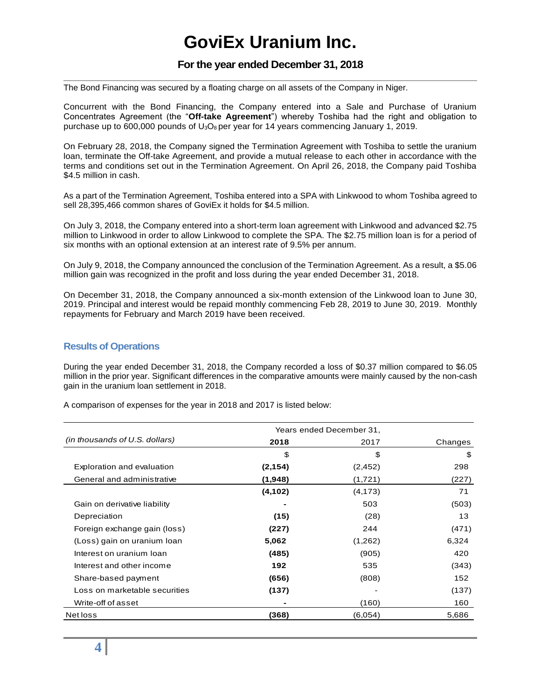### **For the year ended December 31, 2018**

The Bond Financing was secured by a floating charge on all assets of the Company in Niger.

Concurrent with the Bond Financing, the Company entered into a Sale and Purchase of Uranium Concentrates Agreement (the "**Off-take Agreement**") whereby Toshiba had the right and obligation to purchase up to 600,000 pounds of  $U_3O_8$  per year for 14 years commencing January 1, 2019.

On February 28, 2018, the Company signed the Termination Agreement with Toshiba to settle the uranium loan, terminate the Off-take Agreement, and provide a mutual release to each other in accordance with the terms and conditions set out in the Termination Agreement. On April 26, 2018, the Company paid Toshiba \$4.5 million in cash.

As a part of the Termination Agreement, Toshiba entered into a SPA with Linkwood to whom Toshiba agreed to sell 28,395,466 common shares of GoviEx it holds for \$4.5 million.

On July 3, 2018, the Company entered into a short-term loan agreement with Linkwood and advanced \$2.75 million to Linkwood in order to allow Linkwood to complete the SPA. The \$2.75 million loan is for a period of six months with an optional extension at an interest rate of 9.5% per annum.

On July 9, 2018, the Company announced the conclusion of the Termination Agreement. As a result, a \$5.06 million gain was recognized in the profit and loss during the year ended December 31, 2018.

On December 31, 2018, the Company announced a six-month extension of the Linkwood loan to June 30, 2019. Principal and interest would be repaid monthly commencing Feb 28, 2019 to June 30, 2019. Monthly repayments for February and March 2019 have been received.

#### **Results of Operations**

During the year ended December 31, 2018, the Company recorded a loss of \$0.37 million compared to \$6.05 million in the prior year. Significant differences in the comparative amounts were mainly caused by the non-cash gain in the uranium loan settlement in 2018.

A comparison of expenses for the year in 2018 and 2017 is listed below:

|                                |          | Years ended December 31, |         |  |
|--------------------------------|----------|--------------------------|---------|--|
| (in thousands of U.S. dollars) | 2018     | 2017                     | Changes |  |
|                                | \$       | \$                       | \$      |  |
| Exploration and evaluation     | (2, 154) | (2, 452)                 | 298     |  |
| General and administrative     | (1,948)  | (1,721)                  | (227)   |  |
|                                | (4, 102) | (4, 173)                 | 71      |  |
| Gain on derivative liability   |          | 503                      | (503)   |  |
| Depreciation                   | (15)     | (28)                     | 13      |  |
| Foreign exchange gain (loss)   | (227)    | 244                      | (471)   |  |
| (Loss) gain on uranium Ioan    | 5,062    | (1,262)                  | 6,324   |  |
| Interest on uranium Ioan       | (485)    | (905)                    | 420     |  |
| Interest and other income      | 192      | 535                      | (343)   |  |
| Share-based payment            | (656)    | (808)                    | 152     |  |
| Loss on marketable securities  | (137)    |                          | (137)   |  |
| Write-off of asset             |          | (160)                    | 160     |  |
| Net loss                       | (368)    | (6,054)                  | 5,686   |  |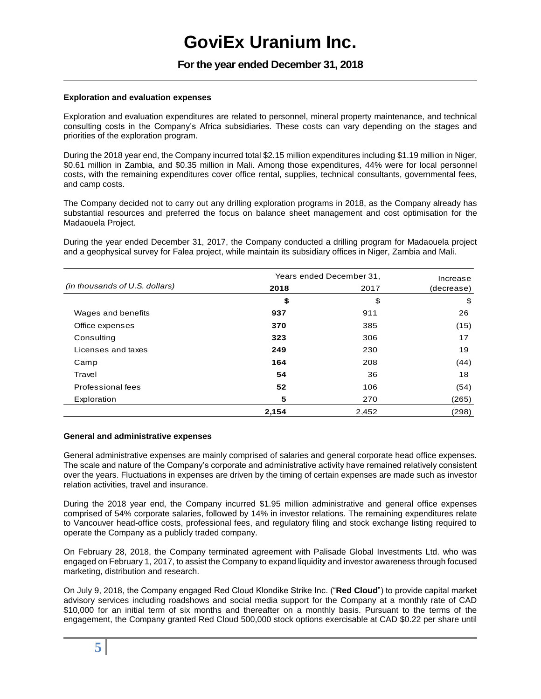### **For the year ended December 31, 2018**

#### **Exploration and evaluation expenses**

Exploration and evaluation expenditures are related to personnel, mineral property maintenance, and technical consulting costs in the Company's Africa subsidiaries. These costs can vary depending on the stages and priorities of the exploration program.

During the 2018 year end, the Company incurred total \$2.15 million expenditures including \$1.19 million in Niger, \$0.61 million in Zambia, and \$0.35 million in Mali. Among those expenditures, 44% were for local personnel costs, with the remaining expenditures cover office rental, supplies, technical consultants, governmental fees, and camp costs.

The Company decided not to carry out any drilling exploration programs in 2018, as the Company already has substantial resources and preferred the focus on balance sheet management and cost optimisation for the Madaouela Project.

During the year ended December 31, 2017, the Company conducted a drilling program for Madaouela project and a geophysical survey for Falea project, while maintain its subsidiary offices in Niger, Zambia and Mali.

|                                | Years ended December 31, | Increase |            |
|--------------------------------|--------------------------|----------|------------|
| (in thousands of U.S. dollars) | 2018                     | 2017     | (decrease) |
|                                | \$                       | \$       | \$         |
| Wages and benefits             | 937                      | 911      | 26         |
| Office expenses                | 370                      | 385      | (15)       |
| Consulting                     | 323                      | 306      | 17         |
| Licenses and taxes             | 249                      | 230      | 19         |
| Camp                           | 164                      | 208      | (44)       |
| Travel                         | 54                       | 36       | 18         |
| Professional fees              | 52                       | 106      | (54)       |
| Exploration                    | 5                        | 270      | (265)      |
|                                | 2,154                    | 2,452    | (298)      |

#### **General and administrative expenses**

General administrative expenses are mainly comprised of salaries and general corporate head office expenses. The scale and nature of the Company's corporate and administrative activity have remained relatively consistent over the years. Fluctuations in expenses are driven by the timing of certain expenses are made such as investor relation activities, travel and insurance.

During the 2018 year end, the Company incurred \$1.95 million administrative and general office expenses comprised of 54% corporate salaries, followed by 14% in investor relations. The remaining expenditures relate to Vancouver head-office costs, professional fees, and regulatory filing and stock exchange listing required to operate the Company as a publicly traded company.

On February 28, 2018, the Company terminated agreement with Palisade Global Investments Ltd. who was engaged on February 1, 2017, to assist the Company to expand liquidity and investor awareness through focused marketing, distribution and research.

On July 9, 2018, the Company engaged Red Cloud Klondike Strike Inc. ("**Red Cloud**") to provide capital market advisory services including roadshows and social media support for the Company at a monthly rate of CAD \$10,000 for an initial term of six months and thereafter on a monthly basis. Pursuant to the terms of the engagement, the Company granted Red Cloud 500,000 stock options exercisable at CAD \$0.22 per share until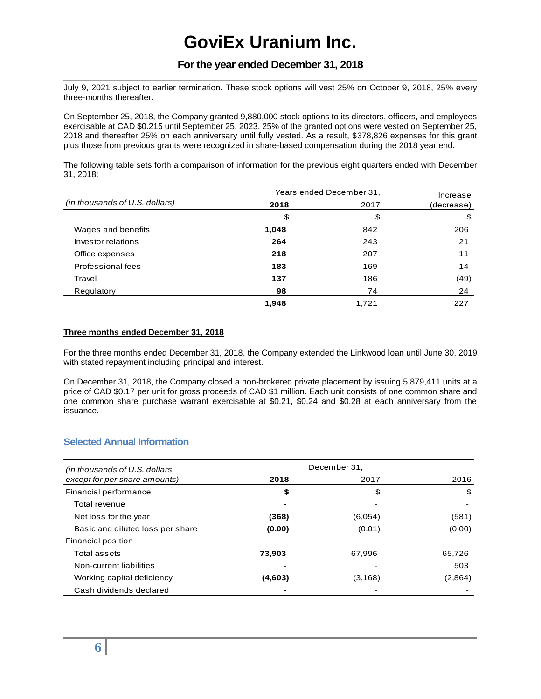### **For the year ended December 31, 2018**

July 9, 2021 subject to earlier termination. These stock options will vest 25% on October 9, 2018, 25% every three-months thereafter.

On September 25, 2018, the Company granted 9,880,000 stock options to its directors, officers, and employees exercisable at CAD \$0.215 until September 25, 2023. 25% of the granted options were vested on September 25, 2018 and thereafter 25% on each anniversary until fully vested. As a result, \$378,826 expenses for this grant plus those from previous grants were recognized in share-based compensation during the 2018 year end.

The following table sets forth a comparison of information for the previous eight quarters ended with December 31, 2018:

|                                | Years ended December 31, | Increase |            |
|--------------------------------|--------------------------|----------|------------|
| (in thousands of U.S. dollars) | 2018                     | 2017     | (decrease) |
|                                | \$                       | \$       | \$         |
| Wages and benefits             | 1,048                    | 842      | 206        |
| Investor relations             | 264                      | 243      | 21         |
| Office expenses                | 218                      | 207      | 11         |
| Professional fees              | 183                      | 169      | 14         |
| Travel                         | 137                      | 186      | (49)       |
| Regulatory                     | 98                       | 74       | 24         |
|                                | 1,948                    | 1,721    | 227        |

#### **Three months ended December 31, 2018**

For the three months ended December 31, 2018, the Company extended the Linkwood loan until June 30, 2019 with stated repayment including principal and interest.

On December 31, 2018, the Company closed a non-brokered private placement by issuing 5,879,411 units at a price of CAD \$0.17 per unit for gross proceeds of CAD \$1 million. Each unit consists of one common share and one common share purchase warrant exercisable at \$0.21, \$0.24 and \$0.28 at each anniversary from the issuance.

#### **Selected Annual Information**

| <i>(in thousands of U.S. dollars)</i> | December 31, |          |         |  |
|---------------------------------------|--------------|----------|---------|--|
| except for per share amounts)         | 2018         | 2017     | 2016    |  |
| Financial performance                 | \$           | \$       | \$      |  |
| Total revenue                         |              |          |         |  |
| Net loss for the year                 | (368)        | (6.054)  | (581)   |  |
| Basic and diluted loss per share      | (0.00)       | (0.01)   | (0.00)  |  |
| Financial position                    |              |          |         |  |
| Total assets                          | 73,903       | 67,996   | 65.726  |  |
| Non-current liabilities               |              |          | 503     |  |
| Working capital deficiency            | (4,603)      | (3, 168) | (2,864) |  |
| Cash dividends declared               |              |          |         |  |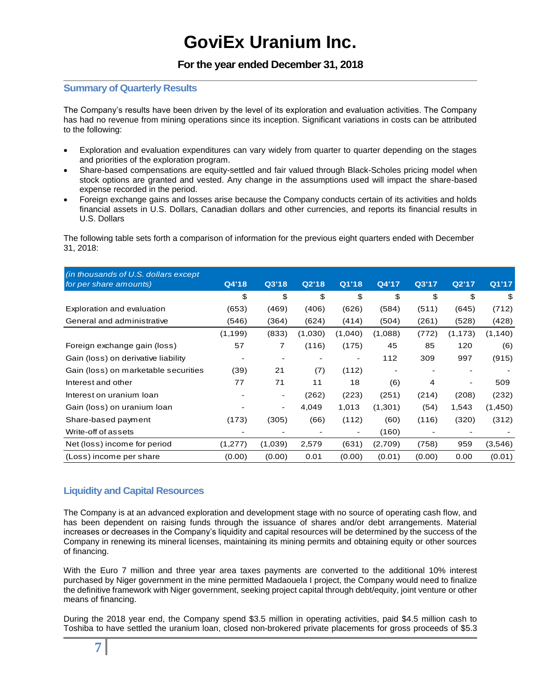### **For the year ended December 31, 2018**

#### **Summary of Quarterly Results**

The Company's results have been driven by the level of its exploration and evaluation activities. The Company has had no revenue from mining operations since its inception. Significant variations in costs can be attributed to the following:

- Exploration and evaluation expenditures can vary widely from quarter to quarter depending on the stages and priorities of the exploration program.
- Share-based compensations are equity-settled and fair valued through Black-Scholes pricing model when stock options are granted and vested. Any change in the assumptions used will impact the share-based expense recorded in the period.
- Foreign exchange gains and losses arise because the Company conducts certain of its activities and holds financial assets in U.S. Dollars, Canadian dollars and other currencies, and reports its financial results in U.S. Dollars

The following table sets forth a comparison of information for the previous eight quarters ended with December 31, 2018:

| (in thousands of U.S. dollars except |          |                          |         |         |         |        |          |          |
|--------------------------------------|----------|--------------------------|---------|---------|---------|--------|----------|----------|
| for per share amounts)               | Q4'18    | Q3'18                    | Q2'18   | Q1'18   | Q4'17   | Q3'17  | Q2'17    | Q1'17    |
|                                      | \$       | \$                       | \$      | \$      | \$      | \$     | \$       | \$       |
| Exploration and evaluation           | (653)    | (469)                    | (406)   | (626)   | (584)   | (511)  | (645)    | (712)    |
| General and administrative           | (546)    | (364)                    | (624)   | (414)   | (504)   | (261)  | (528)    | (428)    |
|                                      | (1, 199) | (833)                    | (1,030) | (1,040) | (1,088) | (772)  | (1, 173) | (1, 140) |
| Foreign exchange gain (loss)         | 57       | $\overline{7}$           | (116)   | (175)   | 45      | 85     | 120      | (6)      |
| Gain (loss) on derivative liability  |          | ۰                        |         |         | 112     | 309    | 997      | (915)    |
| Gain (loss) on marketable securities | (39)     | 21                       | (7)     | (112)   |         |        |          |          |
| Interest and other                   | 77       | 71                       | 11      | 18      | (6)     | 4      |          | 509      |
| Interest on uranium Ioan             |          | $\overline{\phantom{a}}$ | (262)   | (223)   | (251)   | (214)  | (208)    | (232)    |
| Gain (loss) on uranium Ioan          |          | -                        | 4,049   | 1,013   | (1,301) | (54)   | 1,543    | (1,450)  |
| Share-based payment                  | (173)    | (305)                    | (66)    | (112)   | (60)    | (116)  | (320)    | (312)    |
| Write-off of assets                  |          |                          |         |         | (160)   |        |          |          |
| Net (loss) income for period         | (1,277)  | (1,039)                  | 2,579   | (631)   | (2,709) | (758)  | 959      | (3,546)  |
| (Loss) income per share              | (0.00)   | (0.00)                   | 0.01    | (0.00)  | (0.01)  | (0.00) | 0.00     | (0.01)   |

#### **Liquidity and Capital Resources**

The Company is at an advanced exploration and development stage with no source of operating cash flow, and has been dependent on raising funds through the issuance of shares and/or debt arrangements. Material increases or decreases in the Company's liquidity and capital resources will be determined by the success of the Company in renewing its mineral licenses, maintaining its mining permits and obtaining equity or other sources of financing.

With the Euro 7 million and three year area taxes payments are converted to the additional 10% interest purchased by Niger government in the mine permitted Madaouela I project, the Company would need to finalize the definitive framework with Niger government, seeking project capital through debt/equity, joint venture or other means of financing.

During the 2018 year end, the Company spend \$3.5 million in operating activities, paid \$4.5 million cash to Toshiba to have settled the uranium loan, closed non-brokered private placements for gross proceeds of \$5.3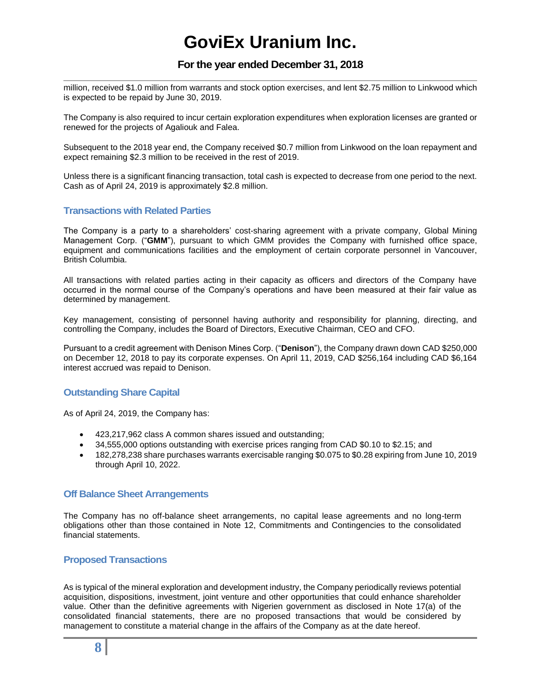### **For the year ended December 31, 2018**

million, received \$1.0 million from warrants and stock option exercises, and lent \$2.75 million to Linkwood which is expected to be repaid by June 30, 2019.

The Company is also required to incur certain exploration expenditures when exploration licenses are granted or renewed for the projects of Agaliouk and Falea.

Subsequent to the 2018 year end, the Company received \$0.7 million from Linkwood on the loan repayment and expect remaining \$2.3 million to be received in the rest of 2019.

Unless there is a significant financing transaction, total cash is expected to decrease from one period to the next. Cash as of April 24, 2019 is approximately \$2.8 million.

#### **Transactions with Related Parties**

The Company is a party to a shareholders' cost-sharing agreement with a private company, Global Mining Management Corp. ("**GMM**"), pursuant to which GMM provides the Company with furnished office space, equipment and communications facilities and the employment of certain corporate personnel in Vancouver, British Columbia.

All transactions with related parties acting in their capacity as officers and directors of the Company have occurred in the normal course of the Company's operations and have been measured at their fair value as determined by management.

Key management, consisting of personnel having authority and responsibility for planning, directing, and controlling the Company, includes the Board of Directors, Executive Chairman, CEO and CFO.

Pursuant to a credit agreement with Denison Mines Corp. ("**Denison**"), the Company drawn down CAD \$250,000 on December 12, 2018 to pay its corporate expenses. On April 11, 2019, CAD \$256,164 including CAD \$6,164 interest accrued was repaid to Denison.

#### **Outstanding Share Capital**

As of April 24, 2019, the Company has:

- 423,217,962 class A common shares issued and outstanding;
- 34,555,000 options outstanding with exercise prices ranging from CAD \$0.10 to \$2.15; and
- 182,278,238 share purchases warrants exercisable ranging \$0.075 to \$0.28 expiring from June 10, 2019 through April 10, 2022.

#### **Off Balance Sheet Arrangements**

The Company has no off-balance sheet arrangements, no capital lease agreements and no long-term obligations other than those contained in Note 12, Commitments and Contingencies to the consolidated financial statements.

#### **Proposed Transactions**

As is typical of the mineral exploration and development industry, the Company periodically reviews potential acquisition, dispositions, investment, joint venture and other opportunities that could enhance shareholder value. Other than the definitive agreements with Nigerien government as disclosed in Note 17(a) of the consolidated financial statements, there are no proposed transactions that would be considered by management to constitute a material change in the affairs of the Company as at the date hereof.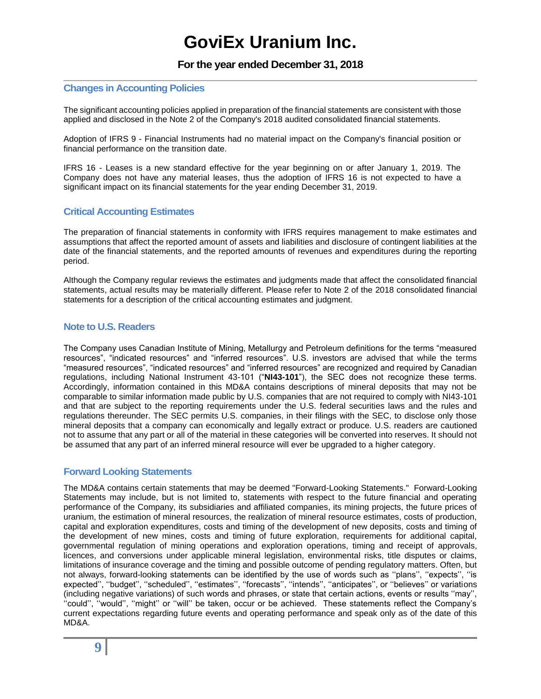### **For the year ended December 31, 2018**

#### **Changes in Accounting Policies**

The significant accounting policies applied in preparation of the financial statements are consistent with those applied and disclosed in the Note 2 of the Company's 2018 audited consolidated financial statements.

Adoption of IFRS 9 - Financial Instruments had no material impact on the Company's financial position or financial performance on the transition date.

IFRS 16 - Leases is a new standard effective for the year beginning on or after January 1, 2019. The Company does not have any material leases, thus the adoption of IFRS 16 is not expected to have a significant impact on its financial statements for the year ending December 31, 2019.

#### **Critical Accounting Estimates**

The preparation of financial statements in conformity with IFRS requires management to make estimates and assumptions that affect the reported amount of assets and liabilities and disclosure of contingent liabilities at the date of the financial statements, and the reported amounts of revenues and expenditures during the reporting period.

Although the Company regular reviews the estimates and judgments made that affect the consolidated financial statements, actual results may be materially different. Please refer to Note 2 of the 2018 consolidated financial statements for a description of the critical accounting estimates and judgment.

#### **Note to U.S. Readers**

The Company uses Canadian Institute of Mining, Metallurgy and Petroleum definitions for the terms "measured resources", "indicated resources" and "inferred resources". U.S. investors are advised that while the terms "measured resources", "indicated resources" and "inferred resources" are recognized and required by Canadian regulations, including National Instrument 43-101 ("**NI43-101**"), the SEC does not recognize these terms. Accordingly, information contained in this MD&A contains descriptions of mineral deposits that may not be comparable to similar information made public by U.S. companies that are not required to comply with NI43-101 and that are subject to the reporting requirements under the U.S. federal securities laws and the rules and regulations thereunder. The SEC permits U.S. companies, in their filings with the SEC, to disclose only those mineral deposits that a company can economically and legally extract or produce. U.S. readers are cautioned not to assume that any part or all of the material in these categories will be converted into reserves. It should not be assumed that any part of an inferred mineral resource will ever be upgraded to a higher category.

#### **Forward Looking Statements**

The MD&A contains certain statements that may be deemed "Forward-Looking Statements." Forward-Looking Statements may include, but is not limited to, statements with respect to the future financial and operating performance of the Company, its subsidiaries and affiliated companies, its mining projects, the future prices of uranium, the estimation of mineral resources, the realization of mineral resource estimates, costs of production, capital and exploration expenditures, costs and timing of the development of new deposits, costs and timing of the development of new mines, costs and timing of future exploration, requirements for additional capital, governmental regulation of mining operations and exploration operations, timing and receipt of approvals, licences, and conversions under applicable mineral legislation, environmental risks, title disputes or claims, limitations of insurance coverage and the timing and possible outcome of pending regulatory matters. Often, but not always, forward-looking statements can be identified by the use of words such as ''plans'', ''expects'', ''is expected'', ''budget'', ''scheduled'', ''estimates'', ''forecasts'', ''intends'', ''anticipates'', or ''believes'' or variations (including negative variations) of such words and phrases, or state that certain actions, events or results ''may'', ''could'', ''would'', ''might'' or ''will'' be taken, occur or be achieved. These statements reflect the Company's current expectations regarding future events and operating performance and speak only as of the date of this MD&A.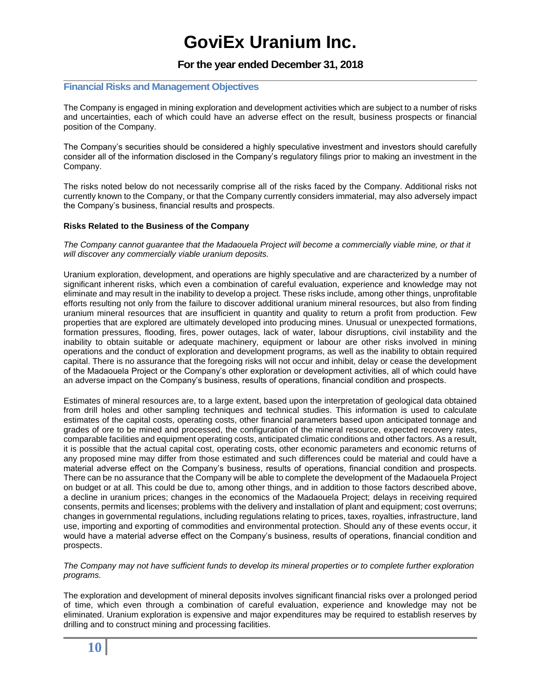### **For the year ended December 31, 2018**

#### **Financial Risks and Management Objectives**

The Company is engaged in mining exploration and development activities which are subject to a number of risks and uncertainties, each of which could have an adverse effect on the result, business prospects or financial position of the Company.

The Company's securities should be considered a highly speculative investment and investors should carefully consider all of the information disclosed in the Company's regulatory filings prior to making an investment in the Company.

The risks noted below do not necessarily comprise all of the risks faced by the Company. Additional risks not currently known to the Company, or that the Company currently considers immaterial, may also adversely impact the Company's business, financial results and prospects.

#### **Risks Related to the Business of the Company**

*The Company cannot guarantee that the Madaouela Project will become a commercially viable mine, or that it will discover any commercially viable uranium deposits.*

Uranium exploration, development, and operations are highly speculative and are characterized by a number of significant inherent risks, which even a combination of careful evaluation, experience and knowledge may not eliminate and may result in the inability to develop a project. These risks include, among other things, unprofitable efforts resulting not only from the failure to discover additional uranium mineral resources, but also from finding uranium mineral resources that are insufficient in quantity and quality to return a profit from production. Few properties that are explored are ultimately developed into producing mines. Unusual or unexpected formations, formation pressures, flooding, fires, power outages, lack of water, labour disruptions, civil instability and the inability to obtain suitable or adequate machinery, equipment or labour are other risks involved in mining operations and the conduct of exploration and development programs, as well as the inability to obtain required capital. There is no assurance that the foregoing risks will not occur and inhibit, delay or cease the development of the Madaouela Project or the Company's other exploration or development activities, all of which could have an adverse impact on the Company's business, results of operations, financial condition and prospects.

Estimates of mineral resources are, to a large extent, based upon the interpretation of geological data obtained from drill holes and other sampling techniques and technical studies. This information is used to calculate estimates of the capital costs, operating costs, other financial parameters based upon anticipated tonnage and grades of ore to be mined and processed, the configuration of the mineral resource, expected recovery rates, comparable facilities and equipment operating costs, anticipated climatic conditions and other factors. As a result, it is possible that the actual capital cost, operating costs, other economic parameters and economic returns of any proposed mine may differ from those estimated and such differences could be material and could have a material adverse effect on the Company's business, results of operations, financial condition and prospects. There can be no assurance that the Company will be able to complete the development of the Madaouela Project on budget or at all. This could be due to, among other things, and in addition to those factors described above, a decline in uranium prices; changes in the economics of the Madaouela Project; delays in receiving required consents, permits and licenses; problems with the delivery and installation of plant and equipment; cost overruns; changes in governmental regulations, including regulations relating to prices, taxes, royalties, infrastructure, land use, importing and exporting of commodities and environmental protection. Should any of these events occur, it would have a material adverse effect on the Company's business, results of operations, financial condition and prospects.

#### *The Company may not have sufficient funds to develop its mineral properties or to complete further exploration programs.*

The exploration and development of mineral deposits involves significant financial risks over a prolonged period of time, which even through a combination of careful evaluation, experience and knowledge may not be eliminated. Uranium exploration is expensive and major expenditures may be required to establish reserves by drilling and to construct mining and processing facilities.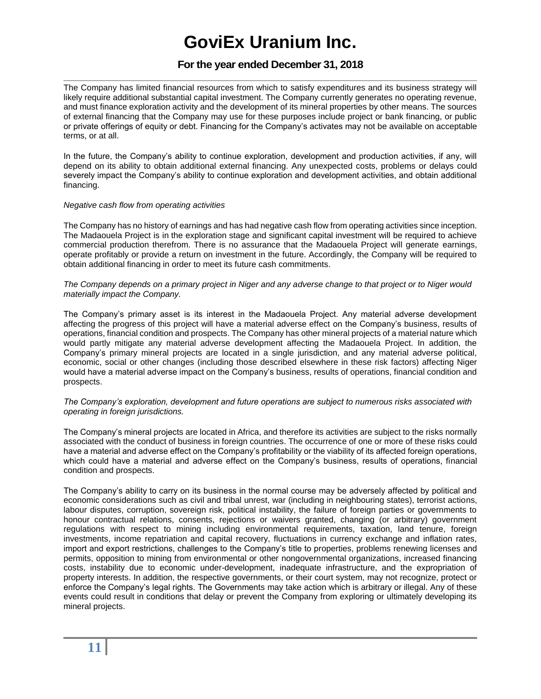### **For the year ended December 31, 2018**

The Company has limited financial resources from which to satisfy expenditures and its business strategy will likely require additional substantial capital investment. The Company currently generates no operating revenue, and must finance exploration activity and the development of its mineral properties by other means. The sources of external financing that the Company may use for these purposes include project or bank financing, or public or private offerings of equity or debt. Financing for the Company's activates may not be available on acceptable terms, or at all.

In the future, the Company's ability to continue exploration, development and production activities, if any, will depend on its ability to obtain additional external financing. Any unexpected costs, problems or delays could severely impact the Company's ability to continue exploration and development activities, and obtain additional financing.

#### *Negative cash flow from operating activities*

The Company has no history of earnings and has had negative cash flow from operating activities since inception. The Madaouela Project is in the exploration stage and significant capital investment will be required to achieve commercial production therefrom. There is no assurance that the Madaouela Project will generate earnings, operate profitably or provide a return on investment in the future. Accordingly, the Company will be required to obtain additional financing in order to meet its future cash commitments.

#### *The Company depends on a primary project in Niger and any adverse change to that project or to Niger would materially impact the Company.*

The Company's primary asset is its interest in the Madaouela Project. Any material adverse development affecting the progress of this project will have a material adverse effect on the Company's business, results of operations, financial condition and prospects. The Company has other mineral projects of a material nature which would partly mitigate any material adverse development affecting the Madaouela Project. In addition, the Company's primary mineral projects are located in a single jurisdiction, and any material adverse political, economic, social or other changes (including those described elsewhere in these risk factors) affecting Niger would have a material adverse impact on the Company's business, results of operations, financial condition and prospects.

#### *The Company's exploration, development and future operations are subject to numerous risks associated with operating in foreign jurisdictions.*

The Company's mineral projects are located in Africa, and therefore its activities are subject to the risks normally associated with the conduct of business in foreign countries. The occurrence of one or more of these risks could have a material and adverse effect on the Company's profitability or the viability of its affected foreign operations, which could have a material and adverse effect on the Company's business, results of operations, financial condition and prospects.

The Company's ability to carry on its business in the normal course may be adversely affected by political and economic considerations such as civil and tribal unrest, war (including in neighbouring states), terrorist actions, labour disputes, corruption, sovereign risk, political instability, the failure of foreign parties or governments to honour contractual relations, consents, rejections or waivers granted, changing (or arbitrary) government regulations with respect to mining including environmental requirements, taxation, land tenure, foreign investments, income repatriation and capital recovery, fluctuations in currency exchange and inflation rates, import and export restrictions, challenges to the Company's title to properties, problems renewing licenses and permits, opposition to mining from environmental or other nongovernmental organizations, increased financing costs, instability due to economic under-development, inadequate infrastructure, and the expropriation of property interests. In addition, the respective governments, or their court system, may not recognize, protect or enforce the Company's legal rights. The Governments may take action which is arbitrary or illegal. Any of these events could result in conditions that delay or prevent the Company from exploring or ultimately developing its mineral projects.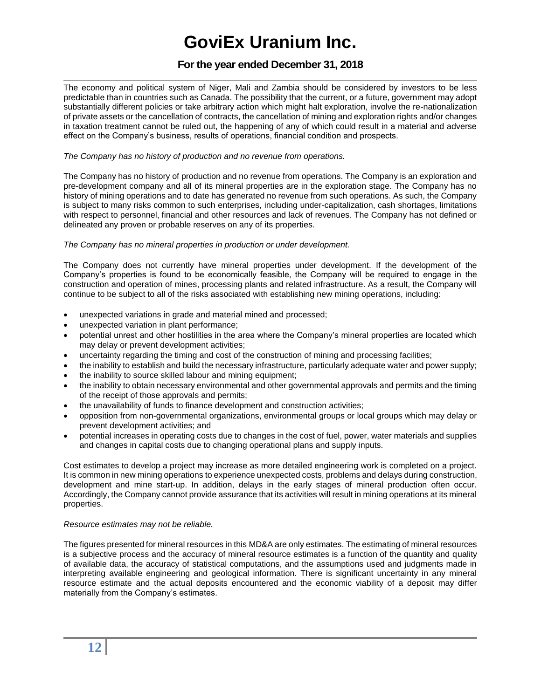### **For the year ended December 31, 2018**

The economy and political system of Niger, Mali and Zambia should be considered by investors to be less predictable than in countries such as Canada. The possibility that the current, or a future, government may adopt substantially different policies or take arbitrary action which might halt exploration, involve the re-nationalization of private assets or the cancellation of contracts, the cancellation of mining and exploration rights and/or changes in taxation treatment cannot be ruled out, the happening of any of which could result in a material and adverse effect on the Company's business, results of operations, financial condition and prospects.

#### *The Company has no history of production and no revenue from operations.*

The Company has no history of production and no revenue from operations. The Company is an exploration and pre-development company and all of its mineral properties are in the exploration stage. The Company has no history of mining operations and to date has generated no revenue from such operations. As such, the Company is subject to many risks common to such enterprises, including under-capitalization, cash shortages, limitations with respect to personnel, financial and other resources and lack of revenues. The Company has not defined or delineated any proven or probable reserves on any of its properties.

#### *The Company has no mineral properties in production or under development.*

The Company does not currently have mineral properties under development. If the development of the Company's properties is found to be economically feasible, the Company will be required to engage in the construction and operation of mines, processing plants and related infrastructure. As a result, the Company will continue to be subject to all of the risks associated with establishing new mining operations, including:

- unexpected variations in grade and material mined and processed;
- unexpected variation in plant performance;
- potential unrest and other hostilities in the area where the Company's mineral properties are located which may delay or prevent development activities;
- uncertainty regarding the timing and cost of the construction of mining and processing facilities;
- the inability to establish and build the necessary infrastructure, particularly adequate water and power supply;
- the inability to source skilled labour and mining equipment;
- the inability to obtain necessary environmental and other governmental approvals and permits and the timing of the receipt of those approvals and permits;
- the unavailability of funds to finance development and construction activities;
- opposition from non-governmental organizations, environmental groups or local groups which may delay or prevent development activities; and
- potential increases in operating costs due to changes in the cost of fuel, power, water materials and supplies and changes in capital costs due to changing operational plans and supply inputs.

Cost estimates to develop a project may increase as more detailed engineering work is completed on a project. It is common in new mining operations to experience unexpected costs, problems and delays during construction, development and mine start-up. In addition, delays in the early stages of mineral production often occur. Accordingly, the Company cannot provide assurance that its activities will result in mining operations at its mineral properties.

#### *Resource estimates may not be reliable.*

The figures presented for mineral resources in this MD&A are only estimates. The estimating of mineral resources is a subjective process and the accuracy of mineral resource estimates is a function of the quantity and quality of available data, the accuracy of statistical computations, and the assumptions used and judgments made in interpreting available engineering and geological information. There is significant uncertainty in any mineral resource estimate and the actual deposits encountered and the economic viability of a deposit may differ materially from the Company's estimates.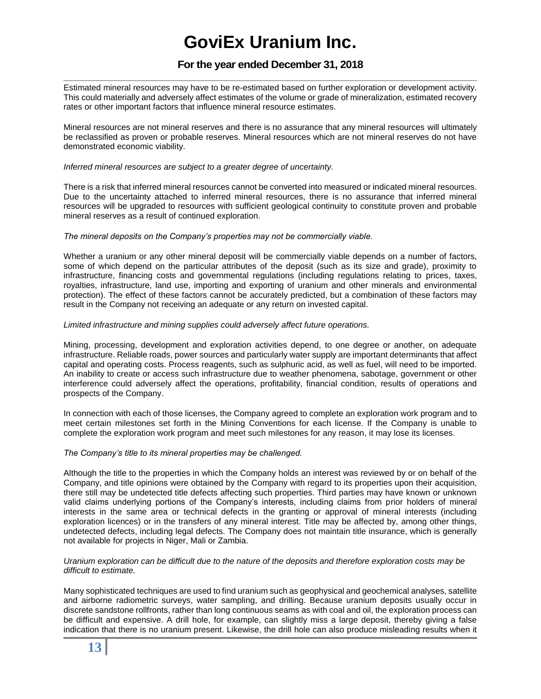### **For the year ended December 31, 2018**

Estimated mineral resources may have to be re-estimated based on further exploration or development activity. This could materially and adversely affect estimates of the volume or grade of mineralization, estimated recovery rates or other important factors that influence mineral resource estimates.

Mineral resources are not mineral reserves and there is no assurance that any mineral resources will ultimately be reclassified as proven or probable reserves. Mineral resources which are not mineral reserves do not have demonstrated economic viability.

#### *Inferred mineral resources are subject to a greater degree of uncertainty.*

There is a risk that inferred mineral resources cannot be converted into measured or indicated mineral resources. Due to the uncertainty attached to inferred mineral resources, there is no assurance that inferred mineral resources will be upgraded to resources with sufficient geological continuity to constitute proven and probable mineral reserves as a result of continued exploration.

#### *The mineral deposits on the Company's properties may not be commercially viable.*

Whether a uranium or any other mineral deposit will be commercially viable depends on a number of factors, some of which depend on the particular attributes of the deposit (such as its size and grade), proximity to infrastructure, financing costs and governmental regulations (including regulations relating to prices, taxes, royalties, infrastructure, land use, importing and exporting of uranium and other minerals and environmental protection). The effect of these factors cannot be accurately predicted, but a combination of these factors may result in the Company not receiving an adequate or any return on invested capital.

#### *Limited infrastructure and mining supplies could adversely affect future operations.*

Mining, processing, development and exploration activities depend, to one degree or another, on adequate infrastructure. Reliable roads, power sources and particularly water supply are important determinants that affect capital and operating costs. Process reagents, such as sulphuric acid, as well as fuel, will need to be imported. An inability to create or access such infrastructure due to weather phenomena, sabotage, government or other interference could adversely affect the operations, profitability, financial condition, results of operations and prospects of the Company.

In connection with each of those licenses, the Company agreed to complete an exploration work program and to meet certain milestones set forth in the Mining Conventions for each license. If the Company is unable to complete the exploration work program and meet such milestones for any reason, it may lose its licenses.

#### *The Company's title to its mineral properties may be challenged.*

Although the title to the properties in which the Company holds an interest was reviewed by or on behalf of the Company, and title opinions were obtained by the Company with regard to its properties upon their acquisition, there still may be undetected title defects affecting such properties. Third parties may have known or unknown valid claims underlying portions of the Company's interests, including claims from prior holders of mineral interests in the same area or technical defects in the granting or approval of mineral interests (including exploration licences) or in the transfers of any mineral interest. Title may be affected by, among other things, undetected defects, including legal defects. The Company does not maintain title insurance, which is generally not available for projects in Niger, Mali or Zambia.

#### *Uranium exploration can be difficult due to the nature of the deposits and therefore exploration costs may be difficult to estimate.*

Many sophisticated techniques are used to find uranium such as geophysical and geochemical analyses, satellite and airborne radiometric surveys, water sampling, and drilling. Because uranium deposits usually occur in discrete sandstone rollfronts, rather than long continuous seams as with coal and oil, the exploration process can be difficult and expensive. A drill hole, for example, can slightly miss a large deposit, thereby giving a false indication that there is no uranium present. Likewise, the drill hole can also produce misleading results when it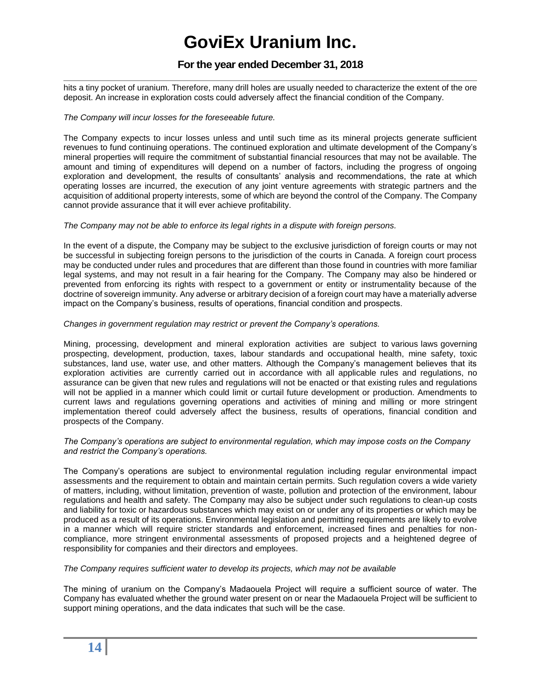### **For the year ended December 31, 2018**

hits a tiny pocket of uranium. Therefore, many drill holes are usually needed to characterize the extent of the ore deposit. An increase in exploration costs could adversely affect the financial condition of the Company.

#### *The Company will incur losses for the foreseeable future.*

The Company expects to incur losses unless and until such time as its mineral projects generate sufficient revenues to fund continuing operations. The continued exploration and ultimate development of the Company's mineral properties will require the commitment of substantial financial resources that may not be available. The amount and timing of expenditures will depend on a number of factors, including the progress of ongoing exploration and development, the results of consultants' analysis and recommendations, the rate at which operating losses are incurred, the execution of any joint venture agreements with strategic partners and the acquisition of additional property interests, some of which are beyond the control of the Company. The Company cannot provide assurance that it will ever achieve profitability.

#### *The Company may not be able to enforce its legal rights in a dispute with foreign persons.*

In the event of a dispute, the Company may be subject to the exclusive jurisdiction of foreign courts or may not be successful in subjecting foreign persons to the jurisdiction of the courts in Canada. A foreign court process may be conducted under rules and procedures that are different than those found in countries with more familiar legal systems, and may not result in a fair hearing for the Company. The Company may also be hindered or prevented from enforcing its rights with respect to a government or entity or instrumentality because of the doctrine of sovereign immunity. Any adverse or arbitrary decision of a foreign court may have a materially adverse impact on the Company's business, results of operations, financial condition and prospects.

#### *Changes in government regulation may restrict or prevent the Company's operations.*

Mining, processing, development and mineral exploration activities are subject to various laws governing prospecting, development, production, taxes, labour standards and occupational health, mine safety, toxic substances, land use, water use, and other matters. Although the Company's management believes that its exploration activities are currently carried out in accordance with all applicable rules and regulations, no assurance can be given that new rules and regulations will not be enacted or that existing rules and regulations will not be applied in a manner which could limit or curtail future development or production. Amendments to current laws and regulations governing operations and activities of mining and milling or more stringent implementation thereof could adversely affect the business, results of operations, financial condition and prospects of the Company.

#### *The Company's operations are subject to environmental regulation, which may impose costs on the Company and restrict the Company's operations.*

The Company's operations are subject to environmental regulation including regular environmental impact assessments and the requirement to obtain and maintain certain permits. Such regulation covers a wide variety of matters, including, without limitation, prevention of waste, pollution and protection of the environment, labour regulations and health and safety. The Company may also be subject under such regulations to clean-up costs and liability for toxic or hazardous substances which may exist on or under any of its properties or which may be produced as a result of its operations. Environmental legislation and permitting requirements are likely to evolve in a manner which will require stricter standards and enforcement, increased fines and penalties for noncompliance, more stringent environmental assessments of proposed projects and a heightened degree of responsibility for companies and their directors and employees.

#### *The Company requires sufficient water to develop its projects, which may not be available*

The mining of uranium on the Company's Madaouela Project will require a sufficient source of water. The Company has evaluated whether the ground water present on or near the Madaouela Project will be sufficient to support mining operations, and the data indicates that such will be the case.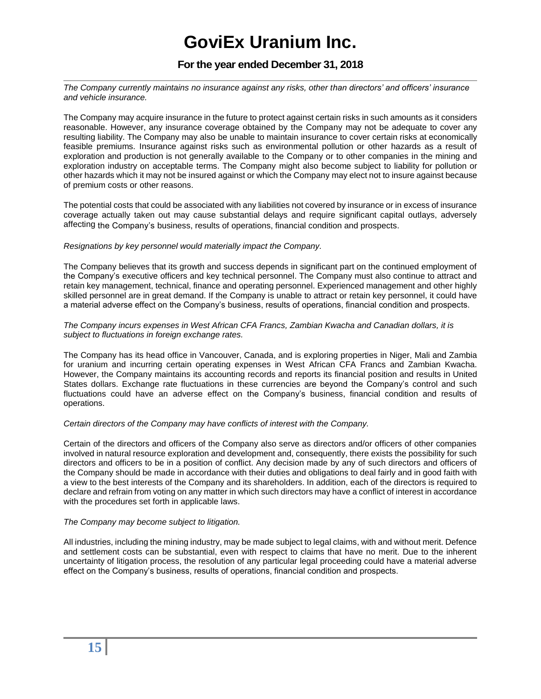### **For the year ended December 31, 2018**

*The Company currently maintains no insurance against any risks, other than directors' and officers' insurance and vehicle insurance.* 

The Company may acquire insurance in the future to protect against certain risks in such amounts as it considers reasonable. However, any insurance coverage obtained by the Company may not be adequate to cover any resulting liability. The Company may also be unable to maintain insurance to cover certain risks at economically feasible premiums. Insurance against risks such as environmental pollution or other hazards as a result of exploration and production is not generally available to the Company or to other companies in the mining and exploration industry on acceptable terms. The Company might also become subject to liability for pollution or other hazards which it may not be insured against or which the Company may elect not to insure against because of premium costs or other reasons.

The potential costs that could be associated with any liabilities not covered by insurance or in excess of insurance coverage actually taken out may cause substantial delays and require significant capital outlays, adversely affecting the Company's business, results of operations, financial condition and prospects.

#### *Resignations by key personnel would materially impact the Company.*

The Company believes that its growth and success depends in significant part on the continued employment of the Company's executive officers and key technical personnel. The Company must also continue to attract and retain key management, technical, finance and operating personnel. Experienced management and other highly skilled personnel are in great demand. If the Company is unable to attract or retain key personnel, it could have a material adverse effect on the Company's business, results of operations, financial condition and prospects.

#### *The Company incurs expenses in West African CFA Francs, Zambian Kwacha and Canadian dollars, it is subject to fluctuations in foreign exchange rates.*

The Company has its head office in Vancouver, Canada, and is exploring properties in Niger, Mali and Zambia for uranium and incurring certain operating expenses in West African CFA Francs and Zambian Kwacha. However, the Company maintains its accounting records and reports its financial position and results in United States dollars. Exchange rate fluctuations in these currencies are beyond the Company's control and such fluctuations could have an adverse effect on the Company's business, financial condition and results of operations.

#### *Certain directors of the Company may have conflicts of interest with the Company.*

Certain of the directors and officers of the Company also serve as directors and/or officers of other companies involved in natural resource exploration and development and, consequently, there exists the possibility for such directors and officers to be in a position of conflict. Any decision made by any of such directors and officers of the Company should be made in accordance with their duties and obligations to deal fairly and in good faith with a view to the best interests of the Company and its shareholders. In addition, each of the directors is required to declare and refrain from voting on any matter in which such directors may have a conflict of interest in accordance with the procedures set forth in applicable laws.

#### *The Company may become subject to litigation.*

All industries, including the mining industry, may be made subject to legal claims, with and without merit. Defence and settlement costs can be substantial, even with respect to claims that have no merit. Due to the inherent uncertainty of litigation process, the resolution of any particular legal proceeding could have a material adverse effect on the Company's business, results of operations, financial condition and prospects.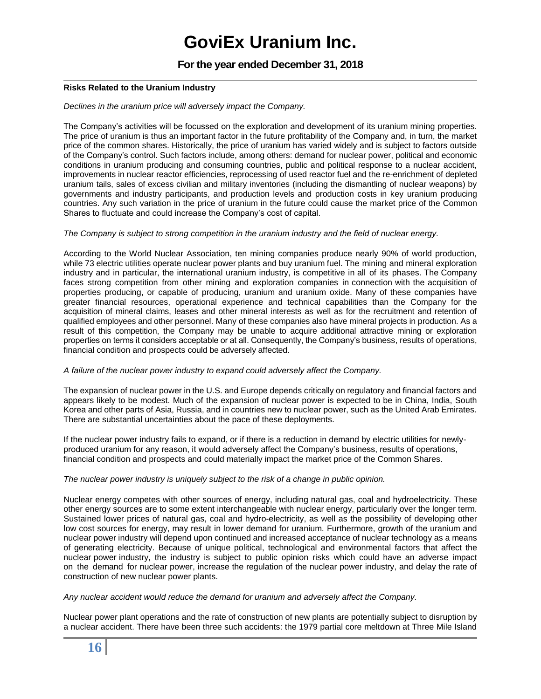### **For the year ended December 31, 2018**

#### **Risks Related to the Uranium Industry**

#### *Declines in the uranium price will adversely impact the Company.*

The Company's activities will be focussed on the exploration and development of its uranium mining properties. The price of uranium is thus an important factor in the future profitability of the Company and, in turn, the market price of the common shares. Historically, the price of uranium has varied widely and is subject to factors outside of the Company's control. Such factors include, among others: demand for nuclear power, political and economic conditions in uranium producing and consuming countries, public and political response to a nuclear accident, improvements in nuclear reactor efficiencies, reprocessing of used reactor fuel and the re-enrichment of depleted uranium tails, sales of excess civilian and military inventories (including the dismantling of nuclear weapons) by governments and industry participants, and production levels and production costs in key uranium producing countries. Any such variation in the price of uranium in the future could cause the market price of the Common Shares to fluctuate and could increase the Company's cost of capital.

#### *The Company is subject to strong competition in the uranium industry and the field of nuclear energy.*

According to the World Nuclear Association, ten mining companies produce nearly 90% of world production, while 73 electric utilities operate nuclear power plants and buy uranium fuel. The mining and mineral exploration industry and in particular, the international uranium industry, is competitive in all of its phases. The Company faces strong competition from other mining and exploration companies in connection with the acquisition of properties producing, or capable of producing, uranium and uranium oxide. Many of these companies have greater financial resources, operational experience and technical capabilities than the Company for the acquisition of mineral claims, leases and other mineral interests as well as for the recruitment and retention of qualified employees and other personnel. Many of these companies also have mineral projects in production. As a result of this competition, the Company may be unable to acquire additional attractive mining or exploration properties on terms it considers acceptable or at all. Consequently, the Company's business, results of operations, financial condition and prospects could be adversely affected.

#### *A failure of the nuclear power industry to expand could adversely affect the Company.*

The expansion of nuclear power in the U.S. and Europe depends critically on regulatory and financial factors and appears likely to be modest. Much of the expansion of nuclear power is expected to be in China, India, South Korea and other parts of Asia, Russia, and in countries new to nuclear power, such as the United Arab Emirates. There are substantial uncertainties about the pace of these deployments.

If the nuclear power industry fails to expand, or if there is a reduction in demand by electric utilities for newlyproduced uranium for any reason, it would adversely affect the Company's business, results of operations, financial condition and prospects and could materially impact the market price of the Common Shares.

#### *The nuclear power industry is uniquely subject to the risk of a change in public opinion.*

Nuclear energy competes with other sources of energy, including natural gas, coal and hydroelectricity. These other energy sources are to some extent interchangeable with nuclear energy, particularly over the longer term. Sustained lower prices of natural gas, coal and hydro-electricity, as well as the possibility of developing other low cost sources for energy, may result in lower demand for uranium. Furthermore, growth of the uranium and nuclear power industry will depend upon continued and increased acceptance of nuclear technology as a means of generating electricity. Because of unique political, technological and environmental factors that affect the nuclear power industry, the industry is subject to public opinion risks which could have an adverse impact on the demand for nuclear power, increase the regulation of the nuclear power industry, and delay the rate of construction of new nuclear power plants.

*Any nuclear accident would reduce the demand for uranium and adversely affect the Company.*

Nuclear power plant operations and the rate of construction of new plants are potentially subject to disruption by a nuclear accident. There have been three such accidents: the 1979 partial core meltdown at Three Mile Island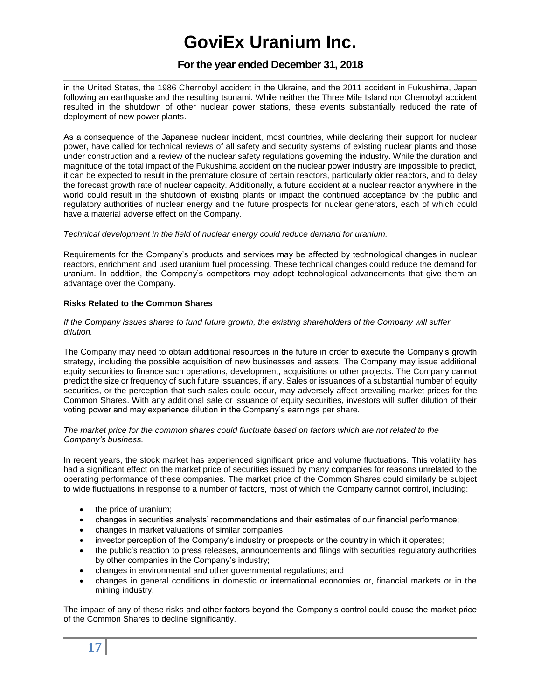### **For the year ended December 31, 2018**

in the United States, the 1986 Chernobyl accident in the Ukraine, and the 2011 accident in Fukushima, Japan following an earthquake and the resulting tsunami. While neither the Three Mile Island nor Chernobyl accident resulted in the shutdown of other nuclear power stations, these events substantially reduced the rate of deployment of new power plants.

As a consequence of the Japanese nuclear incident, most countries, while declaring their support for nuclear power, have called for technical reviews of all safety and security systems of existing nuclear plants and those under construction and a review of the nuclear safety regulations governing the industry. While the duration and magnitude of the total impact of the Fukushima accident on the nuclear power industry are impossible to predict, it can be expected to result in the premature closure of certain reactors, particularly older reactors, and to delay the forecast growth rate of nuclear capacity. Additionally, a future accident at a nuclear reactor anywhere in the world could result in the shutdown of existing plants or impact the continued acceptance by the public and regulatory authorities of nuclear energy and the future prospects for nuclear generators, each of which could have a material adverse effect on the Company.

#### *Technical development in the field of nuclear energy could reduce demand for uranium.*

Requirements for the Company's products and services may be affected by technological changes in nuclear reactors, enrichment and used uranium fuel processing. These technical changes could reduce the demand for uranium. In addition, the Company's competitors may adopt technological advancements that give them an advantage over the Company.

#### **Risks Related to the Common Shares**

#### *If the Company issues shares to fund future growth, the existing shareholders of the Company will suffer dilution.*

The Company may need to obtain additional resources in the future in order to execute the Company's growth strategy, including the possible acquisition of new businesses and assets. The Company may issue additional equity securities to finance such operations, development, acquisitions or other projects. The Company cannot predict the size or frequency of such future issuances, if any. Sales or issuances of a substantial number of equity securities, or the perception that such sales could occur, may adversely affect prevailing market prices for the Common Shares. With any additional sale or issuance of equity securities, investors will suffer dilution of their voting power and may experience dilution in the Company's earnings per share.

#### *The market price for the common shares could fluctuate based on factors which are not related to the Company's business.*

In recent years, the stock market has experienced significant price and volume fluctuations. This volatility has had a significant effect on the market price of securities issued by many companies for reasons unrelated to the operating performance of these companies. The market price of the Common Shares could similarly be subject to wide fluctuations in response to a number of factors, most of which the Company cannot control, including:

- the price of uranium;
- changes in securities analysts' recommendations and their estimates of our financial performance;
- changes in market valuations of similar companies;
- investor perception of the Company's industry or prospects or the country in which it operates;
- the public's reaction to press releases, announcements and filings with securities regulatory authorities by other companies in the Company's industry;
- changes in environmental and other governmental regulations; and
- changes in general conditions in domestic or international economies or, financial markets or in the mining industry.

The impact of any of these risks and other factors beyond the Company's control could cause the market price of the Common Shares to decline significantly.